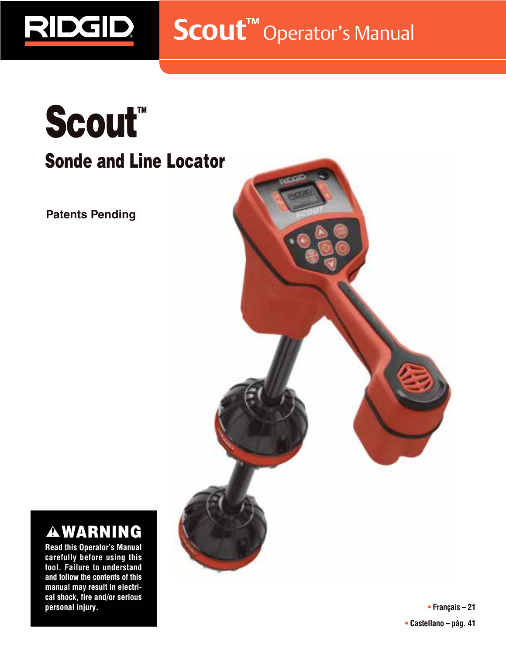**Scout™** Operator's Manual

# Scout<sup>"</sup> **Sonde and Line Locator**

**Patents Pending**

RIDGID



# **WARNING**

**Read this Operator's Manual carefully before using this tool. Failure to understand and follow the contents of this manual may result in electrical shock, fire and/or serious personal injury.**

**• Français – 21 • Castellano – pág. 41**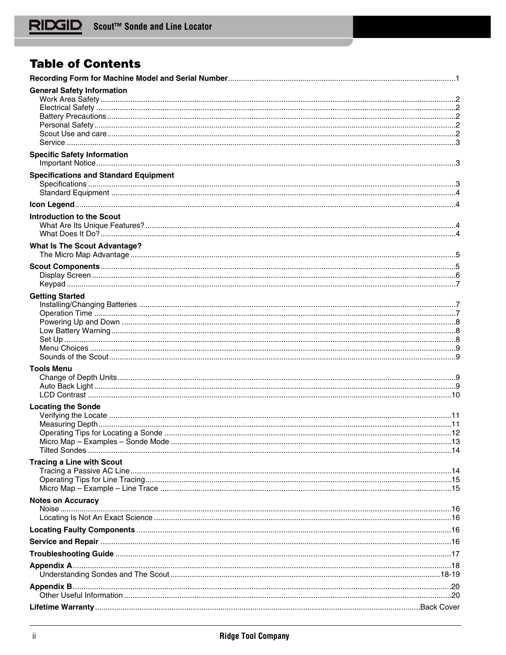# **Table of Contents**

| <b>General Safety Information</b>            |  |
|----------------------------------------------|--|
|                                              |  |
|                                              |  |
|                                              |  |
|                                              |  |
|                                              |  |
| <b>Specific Safety Information</b>           |  |
|                                              |  |
| <b>Specifications and Standard Equipment</b> |  |
|                                              |  |
|                                              |  |
|                                              |  |
| <b>Introduction to the Scout</b>             |  |
|                                              |  |
|                                              |  |
| <b>What Is The Scout Advantage?</b>          |  |
|                                              |  |
|                                              |  |
|                                              |  |
|                                              |  |
| <b>Getting Started</b>                       |  |
|                                              |  |
|                                              |  |
|                                              |  |
|                                              |  |
|                                              |  |
|                                              |  |
| <b>Tools Menu</b>                            |  |
|                                              |  |
|                                              |  |
|                                              |  |
| <b>Locating the Sonde</b>                    |  |
|                                              |  |
|                                              |  |
|                                              |  |
|                                              |  |
|                                              |  |
| <b>Tracing a Line with Scout</b>             |  |
|                                              |  |
|                                              |  |
| <b>Notes on Accuracy</b>                     |  |
|                                              |  |
|                                              |  |
|                                              |  |
|                                              |  |
|                                              |  |
|                                              |  |
|                                              |  |
|                                              |  |
|                                              |  |
|                                              |  |
|                                              |  |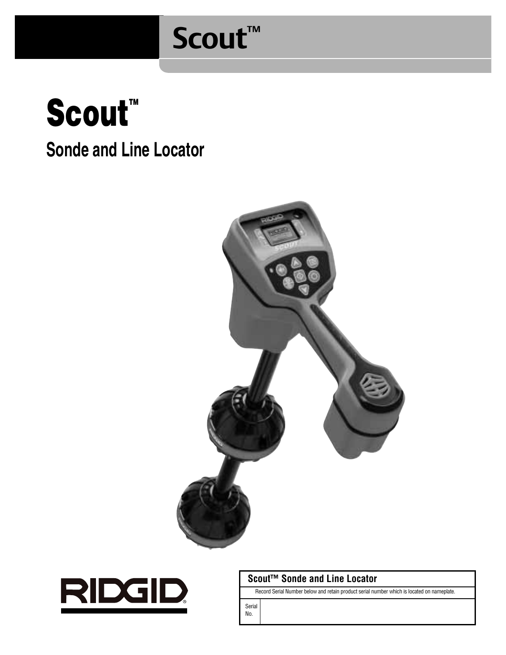# **Scout™**







# **Scout™ Sonde and Line Locator**

Record Serial Number below and retain product serial number which is located on nameplate.

Serial No.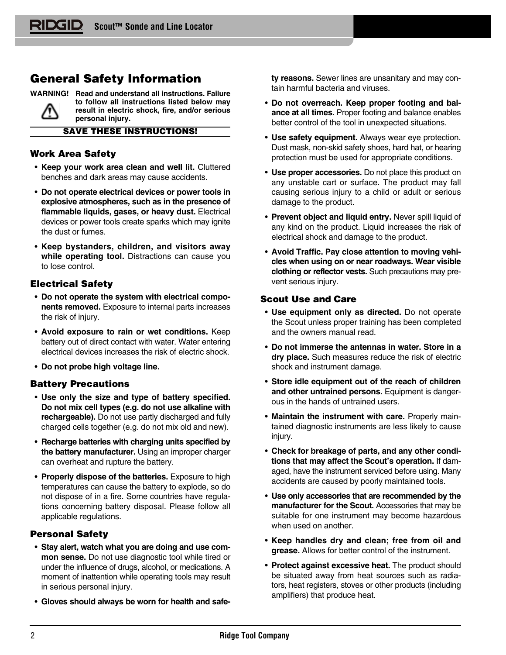# **General Safety Information**

**WARNING! Read and understand all instructions. Failure to follow all instructions listed below may result in electric shock, fire, and/or serious personal injury.**

**SAVE THESE INSTRUCTIONS!**

# **Work Area Safety**

- **Keep your work area clean and well lit.** Cluttered benches and dark areas may cause accidents.
- **Do not operate electrical devices or power tools in explosive atmospheres, such as in the presence of flammable liquids, gases, or heavy dust.** Electrical devices or power tools create sparks which may ignite the dust or fumes.
- **Keep bystanders, children, and visitors away** while operating tool. Distractions can cause you to lose control.

# **Electrical Safety**

- **Do not operate the system with electrical components removed.** Exposure to internal parts increases the risk of injury.
- **Avoid exposure to rain or wet conditions.** Keep battery out of direct contact with water. Water entering electrical devices increases the risk of electric shock.
- **Do not probe high voltage line.**

# **Battery Precautions**

- **Use only the size and type of battery specified. Do not mix cell types (e.g. do not use alkaline with rechargeable).** Do not use partly discharged and fully charged cells together (e.g. do not mix old and new).
- **Recharge batteries with charging units specified by the battery manufacturer.** Using an improper charger can overheat and rupture the battery.
- **Properly dispose of the batteries.** Exposure to high temperatures can cause the battery to explode, so do not dispose of in a fire. Some countries have regulations concerning battery disposal. Please follow all applicable regulations.

# **Personal Safety**

- **Stay alert, watch what you are doing and use common sense.** Do not use diagnostic tool while tired or under the influence of drugs, alcohol, or medications. A moment of inattention while operating tools may result in serious personal injury.
- **Gloves should always be worn for health and safe-**

**ty reasons.** Sewer lines are unsanitary and may contain harmful bacteria and viruses.

- **Do not overreach. Keep proper footing and balance at all times.** Proper footing and balance enables better control of the tool in unexpected situations.
- **Use safety equipment.** Always wear eye protection. Dust mask, non-skid safety shoes, hard hat, or hearing protection must be used for appropriate conditions.
- **Use proper accessories.** Do not place this product on any unstable cart or surface. The product may fall causing serious injury to a child or adult or serious damage to the product.
- **Prevent object and liquid entry.** Never spill liquid of any kind on the product. Liquid increases the risk of electrical shock and damage to the product.
- **Avoid Traffic. Pay close attention to moving vehicles when using on or near roadways. Wear visible clothing or reflector vests.** Such precautions may prevent serious injury.

# **Scout Use and Care**

- **Use equipment only as directed.** Do not operate the Scout unless proper training has been completed and the owners manual read.
- **Do not immerse the antennas in water. Store in a dry place.** Such measures reduce the risk of electric shock and instrument damage.
- **Store idle equipment out of the reach of children and other untrained persons.** Equipment is dangerous in the hands of untrained users.
- **Maintain the instrument with care.** Properly maintained diagnostic instruments are less likely to cause injury.
- **Check for breakage of parts, and any other conditions that may affect the Scout's operation.** If damaged, have the instrument serviced before using. Many accidents are caused by poorly maintained tools.
- **Use only accessories that are recommended by the manufacturer for the Scout.** Accessories that may be suitable for one instrument may become hazardous when used on another.
- **Keep handles dry and clean; free from oil and grease.** Allows for better control of the instrument.
- **Protect against excessive heat.** The product should be situated away from heat sources such as radiators, heat registers, stoves or other products (including amplifiers) that produce heat.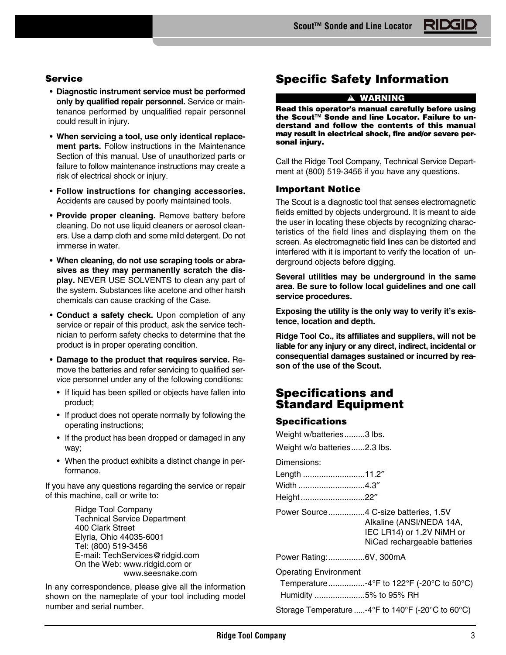# **Service**

- **Diagnostic instrument service must be performed only by qualified repair personnel.** Service or maintenance performed by unqualified repair personnel could result in injury.
- **When servicing a tool, use only identical replacement parts.** Follow instructions in the Maintenance Section of this manual. Use of unauthorized parts or failure to follow maintenance instructions may create a risk of electrical shock or injury.
- **Follow instructions for changing accessories.** Accidents are caused by poorly maintained tools.
- **Provide proper cleaning.** Remove battery before cleaning. Do not use liquid cleaners or aerosol cleaners. Use a damp cloth and some mild detergent. Do not immerse in water.
- **When cleaning, do not use scraping tools or abrasives as they may permanently scratch the display.** NEVER USE SOLVENTS to clean any part of the system. Substances like acetone and other harsh chemicals can cause cracking of the Case.
- **Conduct a safety check.** Upon completion of any service or repair of this product, ask the service technician to perform safety checks to determine that the product is in proper operating condition.
- **Damage to the product that requires service.** Remove the batteries and refer servicing to qualified service personnel under any of the following conditions:
	- If liquid has been spilled or objects have fallen into product;
	- If product does not operate normally by following the operating instructions;
	- If the product has been dropped or damaged in any way;
	- When the product exhibits a distinct change in performance.

If you have any questions regarding the service or repair of this machine, call or write to:

> Ridge Tool Company Technical Service Department 400 Clark Street Elyria, Ohio 44035-6001 Tel: (800) 519-3456 E-mail: TechServices@ridgid.com On the Web: www.ridgid.com or www.seesnake.com

In any correspondence, please give all the information shown on the nameplate of your tool including model number and serial number.

# **Specific Safety Information**

#### **WARNING**

**Read this operator's manual carefully before using the Scout™ Sonde and line Locator. Failure to understand and follow the contents of this manual may result in electrical shock, fire and/or severe personal injury.**

Call the Ridge Tool Company, Technical Service Department at (800) 519-3456 if you have any questions.

## **Important Notice**

The Scout is a diagnostic tool that senses electromagnetic fields emitted by objects underground. It is meant to aide the user in locating these objects by recognizing characteristics of the field lines and displaying them on the screen. As electromagnetic field lines can be distorted and interfered with it is important to verify the location of underground objects before digging.

**Several utilities may be underground in the same area. Be sure to follow local guidelines and one call service procedures.**

**Exposing the utility is the only way to verify it's existence, location and depth.**

**Ridge Tool Co., its affiliates and suppliers, will not be liable for any injury or any direct, indirect, incidental or consequential damages sustained or incurred by reason of the use of the Scout.**

# **Specifications and Standard Equipment**

## **Specifications**

| Weight w/batteries3 lbs.     |                                                                                                                               |
|------------------------------|-------------------------------------------------------------------------------------------------------------------------------|
| Weight w/o batteries2.3 lbs. |                                                                                                                               |
| Dimensions:                  |                                                                                                                               |
| Length 11.2"                 |                                                                                                                               |
| Width 4.3"                   |                                                                                                                               |
| Height22"                    |                                                                                                                               |
|                              | Power Source4 C-size batteries, 1.5V<br>Alkaline (ANSI/NEDA 14A,<br>IEC LR14) or 1.2V NiMH or<br>NiCad rechargeable batteries |
| Power Rating:6V, 300mA       |                                                                                                                               |
| <b>Operating Environment</b> |                                                                                                                               |
|                              | Temperature-4°F to 122°F (-20°C to 50°C)                                                                                      |
| Humidity 5% to 95% RH        |                                                                                                                               |

Storage Temperature .....-4°F to 140°F (-20°C to 60°C)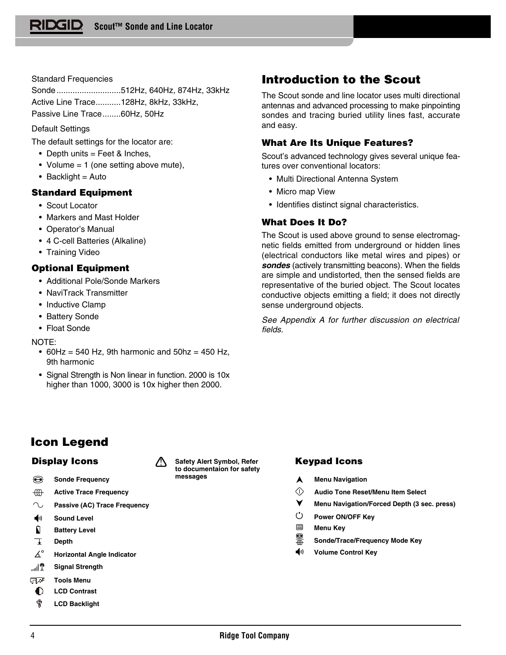# Standard Frequencies

Sonde............................512Hz, 640Hz, 874Hz, 33kHz Active Line Trace...........128Hz, 8kHz, 33kHz, Passive Line Trace........60Hz, 50Hz

# Default Settings

The default settings for the locator are:

- Depth units  $=$  Feet & Inches,
- Volume = 1 (one setting above mute),
- $\bullet$  Backlight = Auto

# **Standard Equipment**

- Scout Locator
- Markers and Mast Holder
- Operator's Manual
- 4 C-cell Batteries (Alkaline)
- Training Video

# **Optional Equipment**

- Additional Pole/Sonde Markers
- NaviTrack Transmitter
- Inductive Clamp
- Battery Sonde
- Float Sonde

# NOTE:

- 60Hz = 540 Hz, 9th harmonic and  $50$ hz = 450 Hz, 9th harmonic
- Signal Strength is Non linear in function. 2000 is 10x higher than 1000, 3000 is 10x higher then 2000.

# **Icon Legend**

- € **Sonde Frequency**
- $\oplus$ **Active Trace Frequency**
- $\sim$ **Passive (AC) Trace Frequency**
- $\blacklozenge$ **Sound Level**
- $\mathbf{a}$ **Battery Level**
- Ŧ **Depth**
- $\Delta^\circ$ **Horizontal Angle Indicator**
- الله السيو<br>المنابع **Signal Strength**
- ज∿⊽ **Tools Menu**
- 0 **LCD Contrast**
- ø **LCD Backlight**

# **Introduction to the Scout**

The Scout sonde and line locator uses multi directional antennas and advanced processing to make pinpointing sondes and tracing buried utility lines fast, accurate and easy.

# **What Are Its Unique Features?**

Scout's advanced technology gives several unique features over conventional locators:

- Multi Directional Antenna System
- Micro map View
- Identifies distinct signal characteristics.

# **What Does It Do?**

The Scout is used above ground to sense electromagnetic fields emitted from underground or hidden lines (electrical conductors like metal wires and pipes) or **sondes** (actively transmitting beacons). When the fields are simple and undistorted, then the sensed fields are representative of the buried object. The Scout locates conductive objects emitting a field; it does not directly sense underground objects.

See Appendix A for further discussion on electrical fields.

- **Menu Navigation** A
- $\Diamond$ **Audio Tone Reset/Menu Item Select**
- ▼ **Menu Navigation/Forced Depth (3 sec. press)**
- $\circ$ **Power ON/OFF Key**
- 目 **Menu Key**
- 篇 **Sonde/Trace/Frequency Mode Key**
- ◀ハ **Volume Control Key**



**Display Icons Keypad Icons Safety Alert Symbol, Refer to documentaion for safety**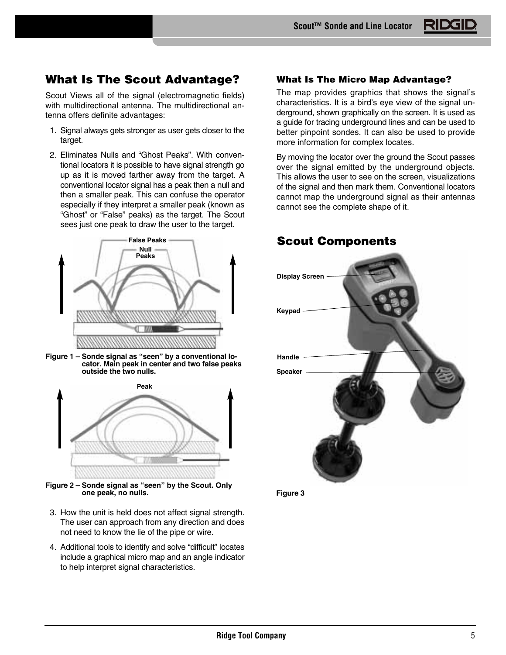# **What Is The Scout Advantage?**

Scout Views all of the signal (electromagnetic fields) with multidirectional antenna. The multidirectional antenna offers definite advantages:

- 1. Signal always gets stronger as user gets closer to the target.
- 2. Eliminates Nulls and "Ghost Peaks". With conventional locators it is possible to have signal strength go up as it is moved farther away from the target. A conventional locator signal has a peak then a null and then a smaller peak. This can confuse the operator especially if they interpret a smaller peak (known as "Ghost" or "False" peaks) as the target. The Scout sees just one peak to draw the user to the target.



**Figure 1 – Sonde signal as "seen" by a conventional locator. Main peak in center and two false peaks outside the two nulls.**



**Figure 2 – Sonde signal as "seen" by the Scout. Only one peak, no nulls.**

- 3. How the unit is held does not affect signal strength. The user can approach from any direction and does not need to know the lie of the pipe or wire.
- 4. Additional tools to identify and solve "difficult" locates include a graphical micro map and an angle indicator to help interpret signal characteristics.

# **What Is The Micro Map Advantage?**

The map provides graphics that shows the signal's characteristics. It is a bird's eye view of the signal underground, shown graphically on the screen. It is used as a guide for tracing underground lines and can be used to better pinpoint sondes. It can also be used to provide more information for complex locates.

By moving the locator over the ground the Scout passes over the signal emitted by the underground objects. This allows the user to see on the screen, visualizations of the signal and then mark them. Conventional locators cannot map the underground signal as their antennas cannot see the complete shape of it.

# **Scout Components**



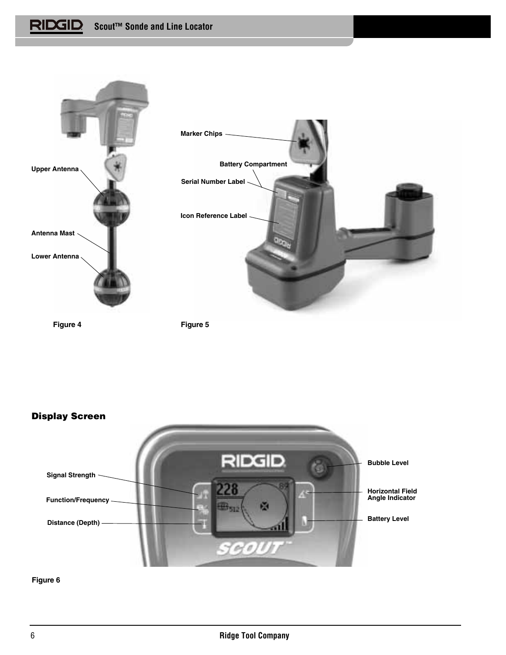**Scout™ Sonde and Line Locator**



**Figure 4**

**Figure 5**



**Figure 6**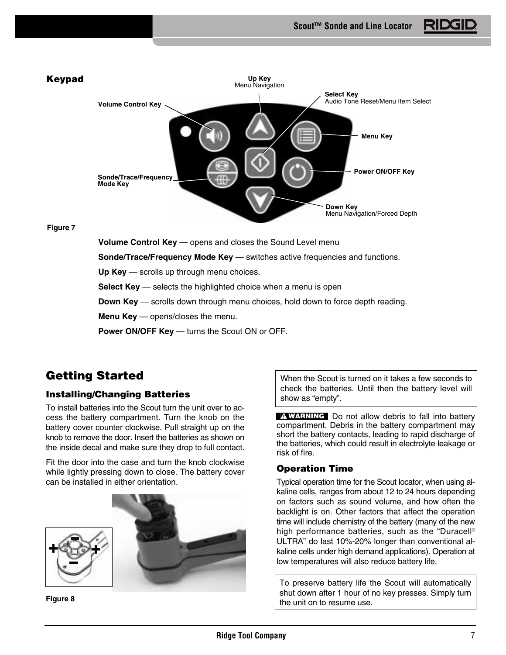

**Select Key** — selects the highlighted choice when a menu is open

**Down Key** — scrolls down through menu choices, hold down to force depth reading.

**Menu Key** — opens/closes the menu.

**Power ON/OFF Key** — turns the Scout ON or OFF.

# **Getting Started**

# **Installing/Changing Batteries**

To install batteries into the Scout turn the unit over to access the battery compartment. Turn the knob on the battery cover counter clockwise. Pull straight up on the knob to remove the door. Insert the batteries as shown on the inside decal and make sure they drop to full contact.

Fit the door into the case and turn the knob clockwise while lightly pressing down to close. The battery cover can be installed in either orientation.



**Figure 8**

When the Scout is turned on it takes a few seconds to check the batteries. Until then the battery level will show as "empty".

**WARNING** Do not allow debris to fall into battery compartment. Debris in the battery compartment may short the battery contacts, leading to rapid discharge of the batteries, which could result in electrolyte leakage or risk of fire.

# **Operation Time**

Typical operation time for the Scout locator, when using alkaline cells, ranges from about 12 to 24 hours depending on factors such as sound volume, and how often the backlight is on. Other factors that affect the operation time will include chemistry of the battery (many of the new high performance batteries, such as the "Duracell® ULTRA" do last 10%-20% longer than conventional alkaline cells under high demand applications). Operation at low temperatures will also reduce battery life.

To preserve battery life the Scout will automatically shut down after 1 hour of no key presses. Simply turn the unit on to resume use.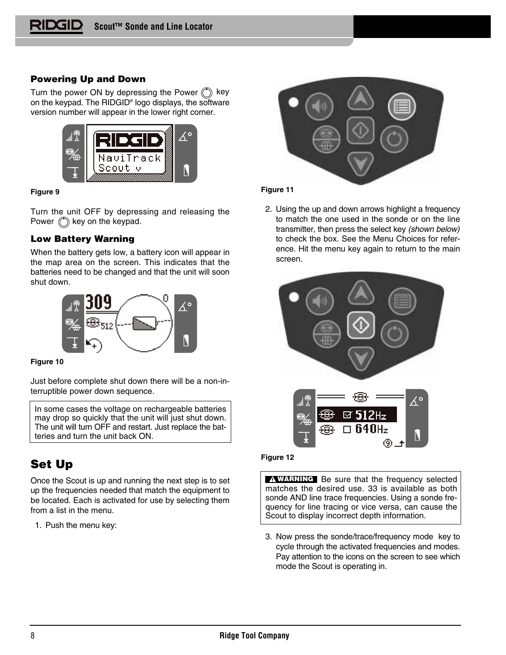# **Powering Up and Down**

Turn the power ON by depressing the Power (C) key on the keypad. The RIDGID® logo displays, the software version number will appear in the lower right corner.



## **Figure 9**

Turn the unit OFF by depressing and releasing the Power  $\binom{4}{x}$  key on the keypad.

# **Low Battery Warning**

When the battery gets low, a battery icon will appear in the map area on the screen. This indicates that the batteries need to be changed and that the unit will soon shut down.



**Figure 10**

Just before complete shut down there will be a non-interruptible power down sequence.

In some cases the voltage on rechargeable batteries may drop so quickly that the unit will just shut down. The unit will turn OFF and restart. Just replace the batteries and turn the unit back ON.

# **Set Up**

Once the Scout is up and running the next step is to set up the frequencies needed that match the equipment to be located. Each is activated for use by selecting them from a list in the menu.

1. Push the menu key:



## **Figure 11**

2. Using the up and down arrows highlight a frequency to match the one used in the sonde or on the line transmitter, then press the select key (shown below) to check the box. See the Menu Choices for reference. Hit the menu key again to return to the main screen.



# **Figure 12**

Be sure that the frequency selected **WARNING**matches the desired use. 33 is available as both sonde AND line trace frequencies. Using a sonde frequency for line tracing or vice versa, can cause the Scout to display incorrect depth information.

3. Now press the sonde/trace/frequency mode key to cycle through the activated frequencies and modes. Pay attention to the icons on the screen to see which mode the Scout is operating in.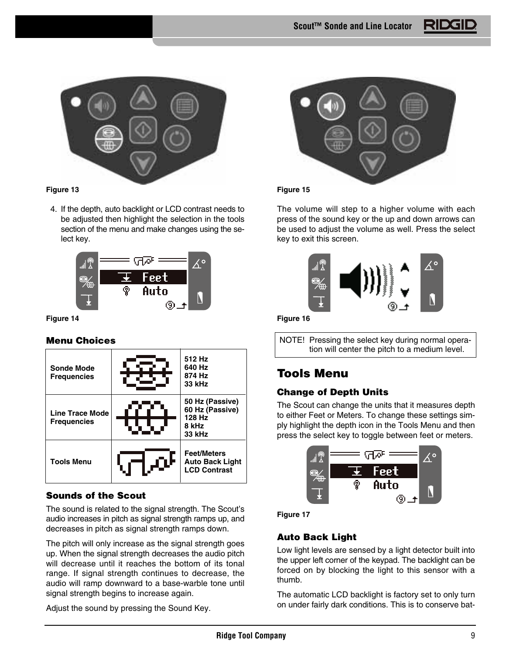

# **Figure 13**

4. If the depth, auto backlight or LCD contrast needs to be adjusted then highlight the selection in the tools section of the menu and make changes using the select key.



## **Figure 14**

# **Menu Choices**



# **Sounds of the Scout**

The sound is related to the signal strength. The Scout's audio increases in pitch as signal strength ramps up, and decreases in pitch as signal strength ramps down.

The pitch will only increase as the signal strength goes up. When the signal strength decreases the audio pitch will decrease until it reaches the bottom of its tonal range. If signal strength continues to decrease, the audio will ramp downward to a base-warble tone until signal strength begins to increase again.

Adjust the sound by pressing the Sound Key.



# **Figure 15**

The volume will step to a higher volume with each press of the sound key or the up and down arrows can be used to adjust the volume as well. Press the select key to exit this screen.



**Figure 16**

NOTE! Pressing the select key during normal operation will center the pitch to a medium level.

# **Tools Menu**

# **Change of Depth Units**

The Scout can change the units that it measures depth to either Feet or Meters. To change these settings simply highlight the depth icon in the Tools Menu and then press the select key to toggle between feet or meters.





# **Auto Back Light**

Low light levels are sensed by a light detector built into the upper left corner of the keypad. The backlight can be forced on by blocking the light to this sensor with a thumb.

The automatic LCD backlight is factory set to only turn on under fairly dark conditions. This is to conserve bat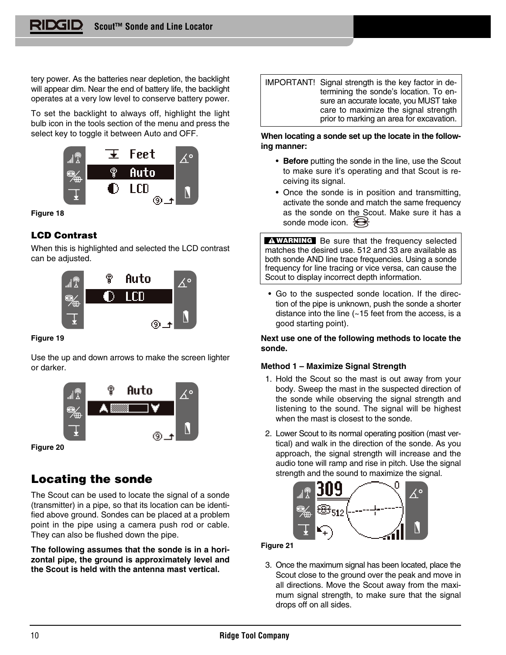tery power. As the batteries near depletion, the backlight will appear dim. Near the end of battery life, the backlight operates at a very low level to conserve battery power.

To set the backlight to always off, highlight the light bulb icon in the tools section of the menu and press the select key to toggle it between Auto and OFF.



#### **Figure 18**

# **LCD Contrast**

When this is highlighted and selected the LCD contrast can be adjusted.



#### **Figure 19**

Use the up and down arrows to make the screen lighter or darker.



**Figure 20**

# **Locating the sonde**

The Scout can be used to locate the signal of a sonde (transmitter) in a pipe, so that its location can be identified above ground. Sondes can be placed at a problem point in the pipe using a camera push rod or cable. They can also be flushed down the pipe.

**The following assumes that the sonde is in a horizontal pipe, the ground is approximately level and the Scout is held with the antenna mast vertical.**

IMPORTANT! Signal strength is the key factor in determining the sonde's location. To ensure an accurate locate, you MUST take care to maximize the signal strength prior to marking an area for excavation.

#### **When locating a sonde set up the locate in the following manner:**

- **Before** putting the sonde in the line, use the Scout to make sure it's operating and that Scout is receiving its signal.
- Once the sonde is in position and transmitting, activate the sonde and match the same frequency as the sonde on the Scout. Make sure it has a sonde mode icon.  $\bigotimes$

Be sure that the frequency selected **WARNING**matches the desired use. 512 and 33 are available as both sonde AND line trace frequencies. Using a sonde frequency for line tracing or vice versa, can cause the Scout to display incorrect depth information.

• Go to the suspected sonde location. If the direction of the pipe is unknown, push the sonde a shorter distance into the line (~15 feet from the access, is a good starting point).

# **Next use one of the following methods to locate the sonde.**

## **Method 1 – Maximize Signal Strength**

- 1. Hold the Scout so the mast is out away from your body. Sweep the mast in the suspected direction of the sonde while observing the signal strength and listening to the sound. The signal will be highest when the mast is closest to the sonde.
- 2. Lower Scout to its normal operating position (mast vertical) and walk in the direction of the sonde. As you approach, the signal strength will increase and the audio tone will ramp and rise in pitch. Use the signal strength and the sound to maximize the signal.



## **Figure 21**

3. Once the maximum signal has been located, place the Scout close to the ground over the peak and move in all directions. Move the Scout away from the maximum signal strength, to make sure that the signal drops off on all sides.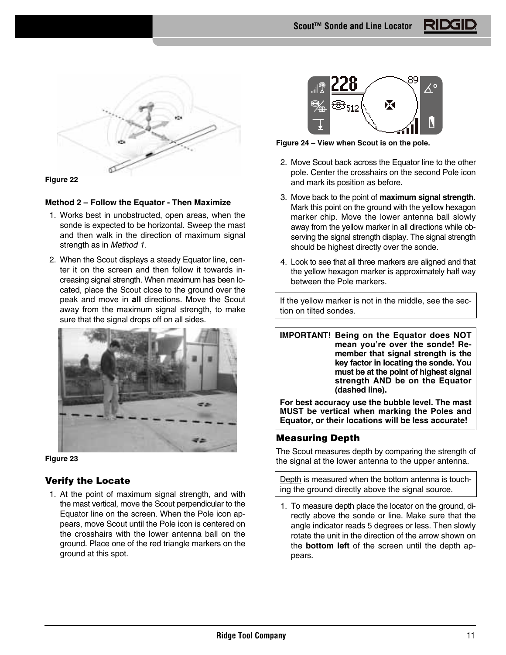

## **Figure 22**

## **Method 2 – Follow the Equator - Then Maximize**

- 1. Works best in unobstructed, open areas, when the sonde is expected to be horizontal. Sweep the mast and then walk in the direction of maximum signal strength as in Method 1.
- 2. When the Scout displays a steady Equator line, center it on the screen and then follow it towards increasing signal strength. When maximum has been located, place the Scout close to the ground over the peak and move in **all** directions. Move the Scout away from the maximum signal strength, to make sure that the signal drops off on all sides.



**Figure 23**

# **Verify the Locate**

1. At the point of maximum signal strength, and with the mast vertical, move the Scout perpendicular to the Equator line on the screen. When the Pole icon appears, move Scout until the Pole icon is centered on the crosshairs with the lower antenna ball on the ground. Place one of the red triangle markers on the ground at this spot.



**Figure 24 – View when Scout is on the pole.**

- 2. Move Scout back across the Equator line to the other pole. Center the crosshairs on the second Pole icon and mark its position as before.
- 3. Move back to the point of **maximum signal strength**. Mark this point on the ground with the yellow hexagon marker chip. Move the lower antenna ball slowly away from the yellow marker in all directions while observing the signal strength display. The signal strength should be highest directly over the sonde.
- 4. Look to see that all three markers are aligned and that the yellow hexagon marker is approximately half way between the Pole markers.

If the yellow marker is not in the middle, see the section on tilted sondes.

**IMPORTANT! Being on the Equator does NOT mean you're over the sonde! Remember that signal strength is the key factor in locating the sonde. You must be at the point of highest signal strength AND be on the Equator (dashed line).**

**For best accuracy use the bubble level. The mast MUST be vertical when marking the Poles and Equator, or their locations will be less accurate!**

# **Measuring Depth**

The Scout measures depth by comparing the strength of the signal at the lower antenna to the upper antenna.

Depth is measured when the bottom antenna is touching the ground directly above the signal source.

1. To measure depth place the locator on the ground, directly above the sonde or line. Make sure that the angle indicator reads 5 degrees or less. Then slowly rotate the unit in the direction of the arrow shown on the **bottom left** of the screen until the depth appears.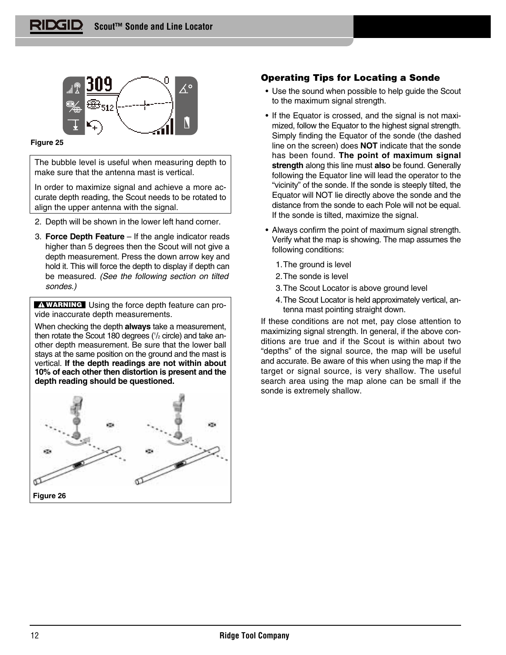

**Figure 25**

The bubble level is useful when measuring depth to make sure that the antenna mast is vertical.

In order to maximize signal and achieve a more accurate depth reading, the Scout needs to be rotated to align the upper antenna with the signal.

- 2. Depth will be shown in the lower left hand corner.
- 3. **Force Depth Feature** If the angle indicator reads higher than 5 degrees then the Scout will not give a depth measurement. Press the down arrow key and hold it. This will force the depth to display if depth can be measured. (See the following section on tilted sondes.)

**WARNING** Using the force depth feature can provide inaccurate depth measurements.

When checking the depth **always** take a measurement, then rotate the Scout 180 degrees (1 /2 circle) and take another depth measurement. Be sure that the lower ball stays at the same position on the ground and the mast is vertical. **If the depth readings are not within about 10% of each other then distortion is present and the depth reading should be questioned.** 



# **Operating Tips for Locating a Sonde**

- Use the sound when possible to help guide the Scout to the maximum signal strength.
- If the Equator is crossed, and the signal is not maximized, follow the Equator to the highest signal strength. Simply finding the Equator of the sonde (the dashed line on the screen) does **NOT** indicate that the sonde has been found. **The point of maximum signal strength** along this line must **also** be found. Generally following the Equator line will lead the operator to the "vicinity" of the sonde. If the sonde is steeply tilted, the Equator will NOT lie directly above the sonde and the distance from the sonde to each Pole will not be equal. If the sonde is tilted, maximize the signal.
- Always confirm the point of maximum signal strength. Verify what the map is showing. The map assumes the following conditions:
	- 1.The ground is level
	- 2.The sonde is level
	- 3.The Scout Locator is above ground level
	- 4.The Scout Locator is held approximately vertical, antenna mast pointing straight down.

If these conditions are not met, pay close attention to maximizing signal strength. In general, if the above conditions are true and if the Scout is within about two "depths" of the signal source, the map will be useful and accurate. Be aware of this when using the map if the target or signal source, is very shallow. The useful search area using the map alone can be small if the sonde is extremely shallow.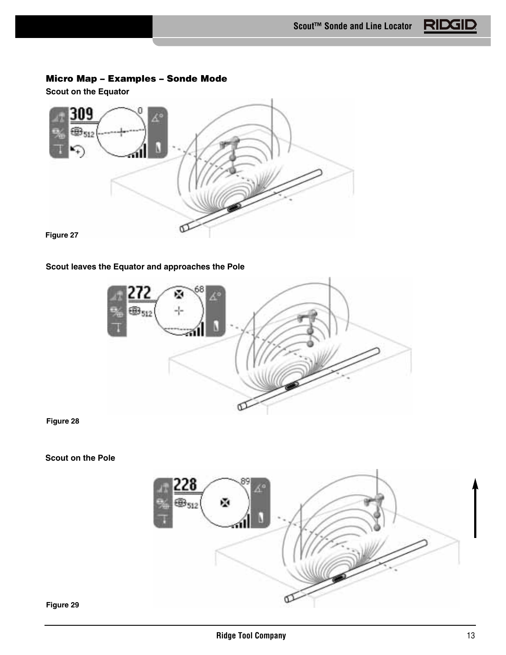# **Micro Map – Examples – Sonde Mode**

**Scout on the Equator**



# **Scout leaves the Equator and approaches the Pole**



**Figure 28**

# **Scout on the Pole**

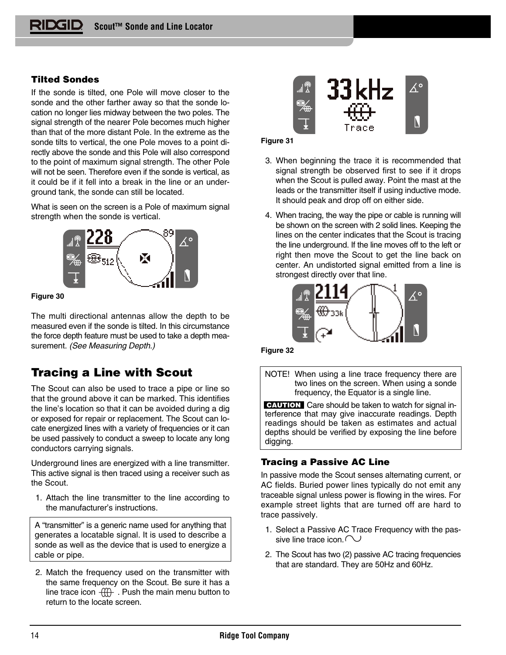# **Tilted Sondes**

If the sonde is tilted, one Pole will move closer to the sonde and the other farther away so that the sonde location no longer lies midway between the two poles. The signal strength of the nearer Pole becomes much higher than that of the more distant Pole. In the extreme as the sonde tilts to vertical, the one Pole moves to a point directly above the sonde and this Pole will also correspond to the point of maximum signal strength. The other Pole will not be seen. Therefore even if the sonde is vertical, as it could be if it fell into a break in the line or an underground tank, the sonde can still be located.

What is seen on the screen is a Pole of maximum signal strength when the sonde is vertical.



**Figure 30**

The multi directional antennas allow the depth to be measured even if the sonde is tilted. In this circumstance the force depth feature must be used to take a depth measurement. (See Measuring Depth.)

# **Tracing a Line with Scout**

The Scout can also be used to trace a pipe or line so that the ground above it can be marked. This identifies the line's location so that it can be avoided during a dig or exposed for repair or replacement. The Scout can locate energized lines with a variety of frequencies or it can be used passively to conduct a sweep to locate any long conductors carrying signals.

Underground lines are energized with a line transmitter. This active signal is then traced using a receiver such as the Scout.

1. Attach the line transmitter to the line according to the manufacturer's instructions.

A "transmitter" is a generic name used for anything that generates a locatable signal. It is used to describe a sonde as well as the device that is used to energize a cable or pipe.

2. Match the frequency used on the transmitter with the same frequency on the Scout. Be sure it has a line trace icon  $\frac{1}{1}$ . Push the main menu button to return to the locate screen.



#### **Figure 31**

- 3. When beginning the trace it is recommended that signal strength be observed first to see if it drops when the Scout is pulled away. Point the mast at the leads or the transmitter itself if using inductive mode. It should peak and drop off on either side.
- 4. When tracing, the way the pipe or cable is running will be shown on the screen with 2 solid lines. Keeping the lines on the center indicates that the Scout is tracing the line underground. If the line moves off to the left or right then move the Scout to get the line back on center. An undistorted signal emitted from a line is strongest directly over that line.



**Figure 32**

NOTE! When using a line trace frequency there are two lines on the screen. When using a sonde frequency, the Equator is a single line.

**CAUTION** Care should be taken to watch for signal interference that may give inaccurate readings. Depth readings should be taken as estimates and actual depths should be verified by exposing the line before digging.

# **Tracing a Passive AC Line**

In passive mode the Scout senses alternating current, or AC fields. Buried power lines typically do not emit any traceable signal unless power is flowing in the wires. For example street lights that are turned off are hard to trace passively.

- 1. Select a Passive AC Trace Frequency with the passive line trace icon.  $\sim$
- 2. The Scout has two (2) passive AC tracing frequencies that are standard. They are 50Hz and 60Hz.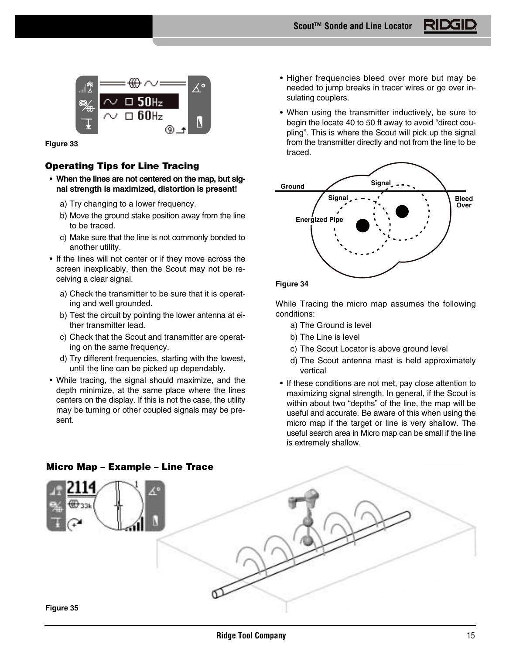

**Figure 33**

# **Operating Tips for Line Tracing**

- **When the lines are not centered on the map, but signal strength is maximized, distortion is present!** 
	- a) Try changing to a lower frequency.
	- b) Move the ground stake position away from the line to be traced.
	- c) Make sure that the line is not commonly bonded to another utility.
- If the lines will not center or if they move across the screen inexplicably, then the Scout may not be receiving a clear signal.
	- a) Check the transmitter to be sure that it is operating and well grounded.
	- b) Test the circuit by pointing the lower antenna at either transmitter lead.
	- c) Check that the Scout and transmitter are operating on the same frequency.
	- d) Try different frequencies, starting with the lowest, until the line can be picked up dependably.
- While tracing, the signal should maximize, and the depth minimize, at the same place where the lines centers on the display. If this is not the case, the utility may be turning or other coupled signals may be present.
- Higher frequencies bleed over more but may be needed to jump breaks in tracer wires or go over insulating couplers.
- When using the transmitter inductively, be sure to begin the locate 40 to 50 ft away to avoid "direct coupling". This is where the Scout will pick up the signal from the transmitter directly and not from the line to be traced.



While Tracing the micro map assumes the following conditions:

- a) The Ground is level
- b) The Line is level
- c) The Scout Locator is above ground level
- d) The Scout antenna mast is held approximately vertical
- If these conditions are not met, pay close attention to maximizing signal strength. In general, if the Scout is within about two "depths" of the line, the map will be useful and accurate. Be aware of this when using the micro map if the target or line is very shallow. The useful search area in Micro map can be small if the line is extremely shallow.

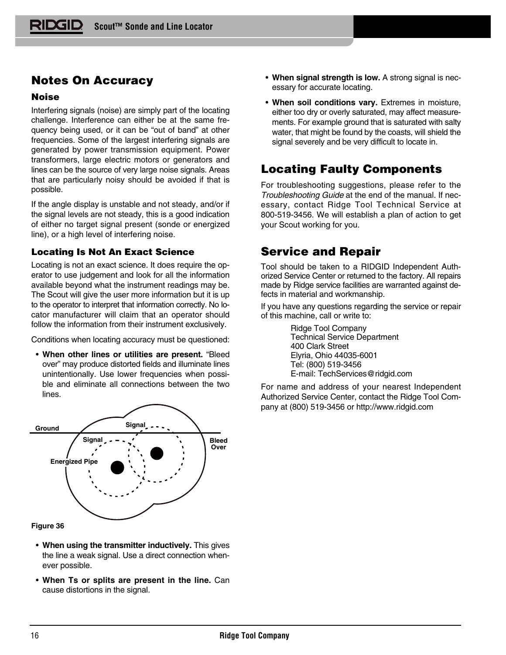# **Notes On Accuracy**

# **Noise**

Interfering signals (noise) are simply part of the locating challenge. Interference can either be at the same frequency being used, or it can be "out of band" at other frequencies. Some of the largest interfering signals are generated by power transmission equipment. Power transformers, large electric motors or generators and lines can be the source of very large noise signals. Areas that are particularly noisy should be avoided if that is possible.

If the angle display is unstable and not steady, and/or if the signal levels are not steady, this is a good indication of either no target signal present (sonde or energized line), or a high level of interfering noise.

# **Locating Is Not An Exact Science**

Locating is not an exact science. It does require the operator to use judgement and look for all the information available beyond what the instrument readings may be. The Scout will give the user more information but it is up to the operator to interpret that information correctly. No locator manufacturer will claim that an operator should follow the information from their instrument exclusively.

Conditions when locating accuracy must be questioned:

• **When other lines or utilities are present.** "Bleed over" may produce distorted fields and illuminate lines unintentionally. Use lower frequencies when possible and eliminate all connections between the two lines.



## **Figure 36**

- **When using the transmitter inductively.** This gives the line a weak signal. Use a direct connection whenever possible.
- **When Ts or splits are present in the line.** Can cause distortions in the signal.
- **When signal strength is low.** A strong signal is necessary for accurate locating.
- **When soil conditions vary.** Extremes in moisture, either too dry or overly saturated, may affect measurements. For example ground that is saturated with salty water, that might be found by the coasts, will shield the signal severely and be very difficult to locate in.

# **Locating Faulty Components**

For troubleshooting suggestions, please refer to the Troubleshooting Guide at the end of the manual. If necessary, contact Ridge Tool Technical Service at 800-519-3456. We will establish a plan of action to get your Scout working for you.

# **Service and Repair**

Tool should be taken to a RIDGID Independent Authorized Service Center or returned to the factory. All repairs made by Ridge service facilities are warranted against defects in material and workmanship.

If you have any questions regarding the service or repair of this machine, call or write to:

> Ridge Tool Company Technical Service Department 400 Clark Street Elyria, Ohio 44035-6001 Tel: (800) 519-3456 E-mail: TechServices@ridgid.com

For name and address of your nearest Independent Authorized Service Center, contact the Ridge Tool Company at (800) 519-3456 or http://www.ridgid.com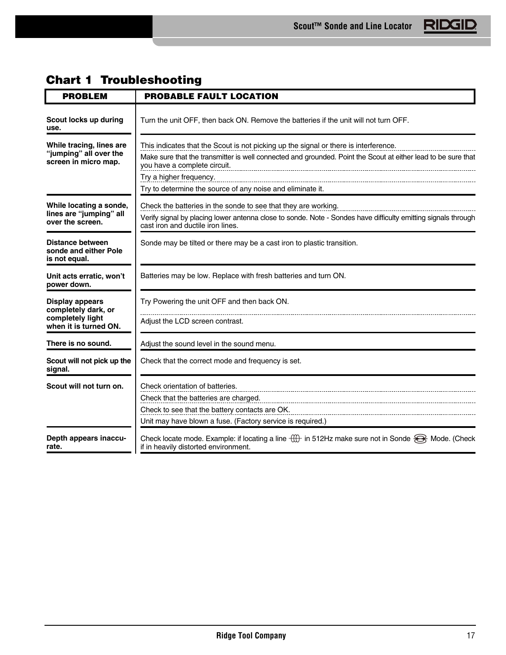| <b>PROBLEM</b>                                                                             | <b>PROBABLE FAULT LOCATION</b>                                                                                                                                                                                                                                                                                                 |
|--------------------------------------------------------------------------------------------|--------------------------------------------------------------------------------------------------------------------------------------------------------------------------------------------------------------------------------------------------------------------------------------------------------------------------------|
| Scout locks up during<br>use.                                                              | Turn the unit OFF, then back ON. Remove the batteries if the unit will not turn OFF.                                                                                                                                                                                                                                           |
| While tracing, lines are<br>"jumping" all over the<br>screen in micro map.                 | This indicates that the Scout is not picking up the signal or there is interference.<br>Make sure that the transmitter is well connected and grounded. Point the Scout at either lead to be sure that<br>you have a complete circuit.<br>Try a higher frequency.<br>Try to determine the source of any noise and eliminate it. |
| While locating a sonde,<br>lines are "jumping" all<br>over the screen.                     | Check the batteries in the sonde to see that they are working.<br>Verify signal by placing lower antenna close to sonde. Note - Sondes have difficulty emitting signals through<br>cast iron and ductile iron lines.                                                                                                           |
| Distance between<br>sonde and either Pole<br>is not equal.                                 | Sonde may be tilted or there may be a cast iron to plastic transition.                                                                                                                                                                                                                                                         |
| Unit acts erratic, won't<br>power down.                                                    | Batteries may be low. Replace with fresh batteries and turn ON.                                                                                                                                                                                                                                                                |
| <b>Display appears</b><br>completely dark, or<br>completely light<br>when it is turned ON. | Try Powering the unit OFF and then back ON.<br>Adjust the LCD screen contrast.                                                                                                                                                                                                                                                 |
| There is no sound.                                                                         | Adjust the sound level in the sound menu.                                                                                                                                                                                                                                                                                      |
| Scout will not pick up the<br>signal.                                                      | Check that the correct mode and frequency is set.                                                                                                                                                                                                                                                                              |
| Scout will not turn on.                                                                    | Check orientation of batteries.<br>Check that the batteries are charged.<br>Check to see that the battery contacts are OK.<br>Unit may have blown a fuse. (Factory service is required.)                                                                                                                                       |
| Depth appears inaccu-<br>rate.                                                             | Check locate mode. Example: if locating a line $\bigoplus$ in 512Hz make sure not in Sonde $\bigoplus$ Mode. (Check<br>if in heavily distorted environment.                                                                                                                                                                    |

# **Chart 1 Troubleshooting**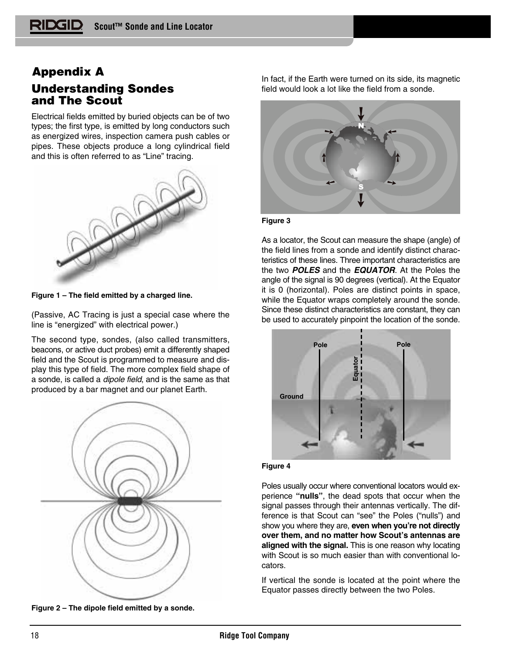# **Understanding Sondes and The Scout Appendix A**

Electrical fields emitted by buried objects can be of two types; the first type, is emitted by long conductors such as energized wires, inspection camera push cables or pipes. These objects produce a long cylindrical field and this is often referred to as "Line" tracing.



**Figure 1 – The field emitted by a charged line.**

(Passive, AC Tracing is just a special case where the line is "energized" with electrical power.)

The second type, sondes, (also called transmitters, beacons, or active duct probes) emit a differently shaped field and the Scout is programmed to measure and display this type of field. The more complex field shape of a sonde, is called a dipole field, and is the same as that produced by a bar magnet and our planet Earth.



**Figure 2 – The dipole field emitted by a sonde.**

In fact, if the Earth were turned on its side, its magnetic field would look a lot like the field from a sonde.



#### **Figure 3**

As a locator, the Scout can measure the shape (angle) of the field lines from a sonde and identify distinct characteristics of these lines. Three important characteristics are the two **POLES** and the **EQUATOR**. At the Poles the angle of the signal is 90 degrees (vertical). At the Equator it is 0 (horizontal). Poles are distinct points in space, while the Equator wraps completely around the sonde. Since these distinct characteristics are constant, they can be used to accurately pinpoint the location of the sonde.





Poles usually occur where conventional locators would experience **"nulls"**, the dead spots that occur when the signal passes through their antennas vertically. The difference is that Scout can "see" the Poles ("nulls") and show you where they are, **even when you're not directly over them, and no matter how Scout's antennas are aligned with the signal.** This is one reason why locating with Scout is so much easier than with conventional locators.

If vertical the sonde is located at the point where the Equator passes directly between the two Poles.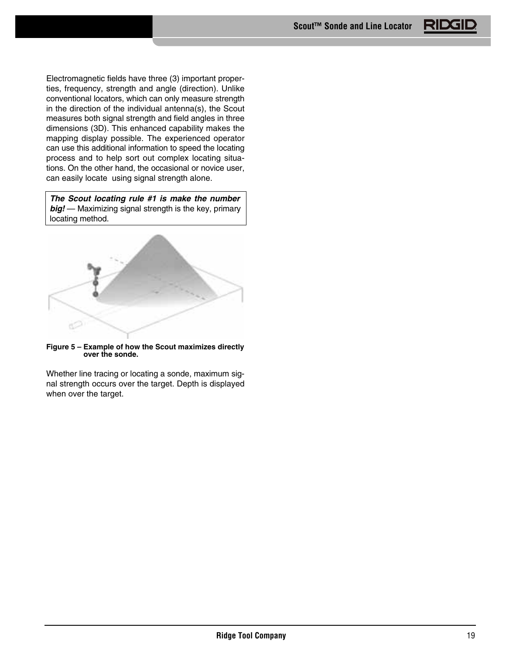Electromagnetic fields have three (3) important properties, frequency, strength and angle (direction). Unlike conventional locators, which can only measure strength in the direction of the individual antenna(s), the Scout measures both signal strength and field angles in three dimensions (3D). This enhanced capability makes the mapping display possible. The experienced operator can use this additional information to speed the locating process and to help sort out complex locating situations. On the other hand, the occasional or novice user, can easily locate using signal strength alone.

**The Scout locating rule #1 is make the number big!** — Maximizing signal strength is the key, primary locating method.



**Figure 5 – Example of how the Scout maximizes directly over the sonde.**

Whether line tracing or locating a sonde, maximum signal strength occurs over the target. Depth is displayed when over the target.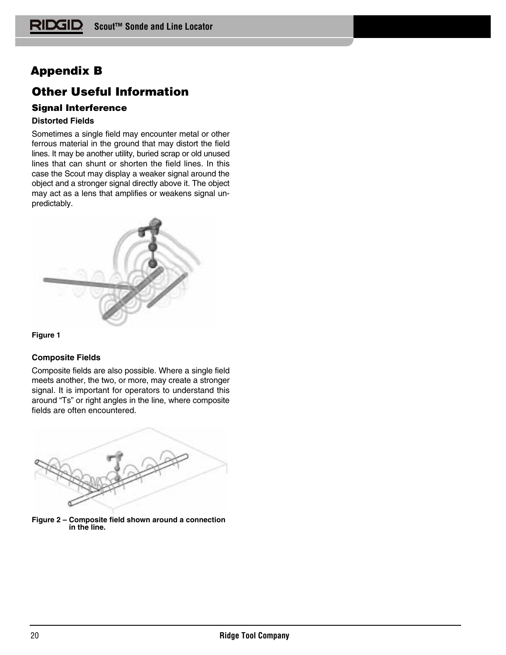# **Appendix B**

# **Other Useful Information**

# **Signal Interference**

# **Distorted Fields**

Sometimes a single field may encounter metal or other ferrous material in the ground that may distort the field lines. It may be another utility, buried scrap or old unused lines that can shunt or shorten the field lines. In this case the Scout may display a weaker signal around the object and a stronger signal directly above it. The object may act as a lens that amplifies or weakens signal unpredictably.



# **Figure 1**

# **Composite Fields**

Composite fields are also possible. Where a single field meets another, the two, or more, may create a stronger signal. It is important for operators to understand this around "Ts" or right angles in the line, where composite fields are often encountered.



**Figure 2 – Composite field shown around a connection in the line.**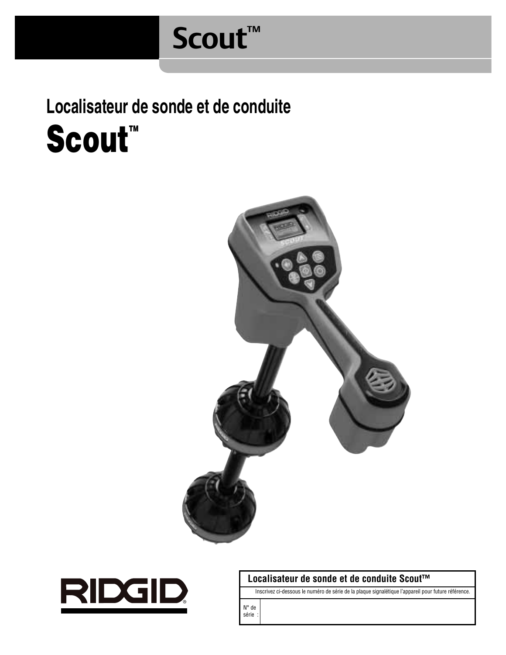# **Scout™**

**Localisateur de sonde et de conduite** Scout<sup>"</sup>





# **Localisateur de sonde et de conduite Scout™**

Inscrivez ci-dessous le numéro de série de la plaque signalétique l'appareil pour future référence.

N° de série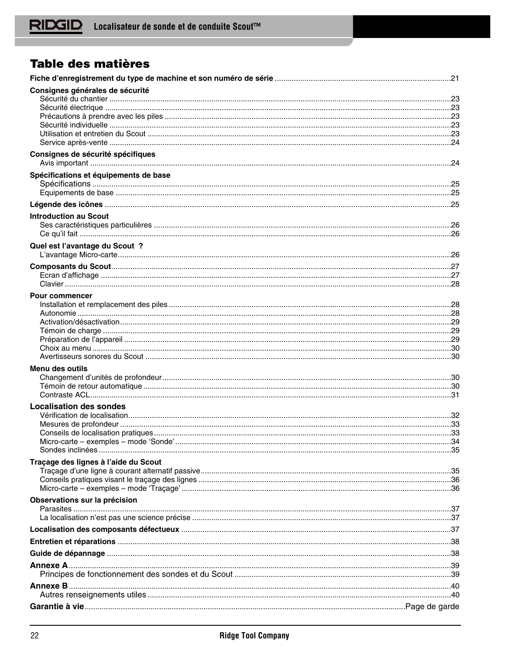# Table des matières

| Consignes générales de sécurité       |  |
|---------------------------------------|--|
|                                       |  |
|                                       |  |
|                                       |  |
|                                       |  |
|                                       |  |
| Consignes de sécurité spécifiques     |  |
|                                       |  |
| Spécifications et équipements de base |  |
|                                       |  |
|                                       |  |
|                                       |  |
| <b>Introduction au Scout</b>          |  |
|                                       |  |
| Quel est l'avantage du Scout ?        |  |
|                                       |  |
|                                       |  |
|                                       |  |
|                                       |  |
| <b>Pour commencer</b>                 |  |
|                                       |  |
|                                       |  |
|                                       |  |
|                                       |  |
|                                       |  |
|                                       |  |
| <b>Menu des outils</b>                |  |
|                                       |  |
|                                       |  |
|                                       |  |
| <b>Localisation des sondes</b>        |  |
|                                       |  |
|                                       |  |
|                                       |  |
|                                       |  |
| Traçage des lignes à l'aide du Scout  |  |
|                                       |  |
|                                       |  |
|                                       |  |
| Observations sur la précision         |  |
|                                       |  |
|                                       |  |
|                                       |  |
|                                       |  |
|                                       |  |
|                                       |  |
|                                       |  |
|                                       |  |
|                                       |  |
|                                       |  |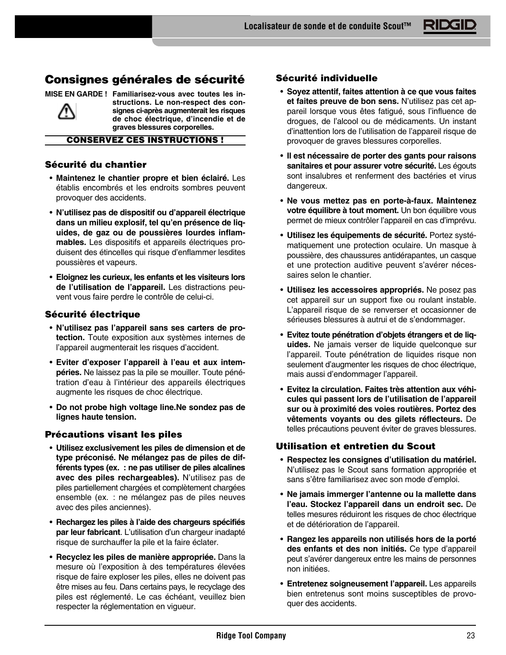# **Consignes générales de sécurité**

**MISE EN GARDE ! Familiarisez-vous avec toutes les in-**



**structions. Le non-respect des consignes ci-après augmenterait les risques de choc électrique, d'incendie et de graves blessures corporelles.**

#### **CONSERVEZ CES INSTRUCTIONS !**

# **Sécurité du chantier**

- **Maintenez le chantier propre et bien éclairé.** Les établis encombrés et les endroits sombres peuvent provoquer des accidents.
- **N'utilisez pas de dispositif ou d'appareil électrique dans un milieu explosif, tel qu'en présence de liquides, de gaz ou de poussières lourdes inflammables.** Les dispositifs et appareils électriques produisent des étincelles qui risque d'enflammer lesdites poussières et vapeurs.
- **Eloignez les curieux, les enfants et les visiteurs lors de l'utilisation de l'appareil.** Les distractions peuvent vous faire perdre le contrôle de celui-ci.

# **Sécurité électrique**

- **N'utilisez pas l'appareil sans ses carters de protection.** Toute exposition aux systèmes internes de l'appareil augmenterait les risques d'accident.
- **Eviter d'exposer l'appareil à l'eau et aux intempéries.** Ne laissez pas la pile se mouiller. Toute pénétration d'eau à l'intérieur des appareils électriques augmente les risques de choc électrique.
- **Do not probe high voltage line.Ne sondez pas de lignes haute tension.**

# **Précautions visant les piles**

- **Utilisez exclusivement les piles de dimension et de type préconisé. Ne mélangez pas de piles de différents types (ex. : ne pas utiliser de piles alcalines avec des piles rechargeables).** N'utilisez pas de piles partiellement chargées et complètement chargées ensemble (ex. : ne mélangez pas de piles neuves avec des piles anciennes).
- **Rechargez les piles à l'aide des chargeurs spécifiés par leur fabricant**. L'utilisation d'un chargeur inadapté risque de surchauffer la pile et la faire éclater.
- **Recyclez les piles de manière appropriée.** Dans la mesure où l'exposition à des températures élevées risque de faire exploser les piles, elles ne doivent pas être mises au feu. Dans certains pays, le recyclage des piles est réglementé. Le cas échéant, veuillez bien respecter la réglementation en vigueur.

# **Sécurité individuelle**

- **Soyez attentif, faites attention à ce que vous faites et faites preuve de bon sens.** N'utilisez pas cet appareil lorsque vous êtes fatigué, sous l'influence de drogues, de l'alcool ou de médicaments. Un instant d'inattention lors de l'utilisation de l'appareil risque de provoquer de graves blessures corporelles.
- **Il est nécessaire de porter des gants pour raisons sanitaires et pour assurer votre sécurité.** Les égouts sont insalubres et renferment des bactéries et virus dangereux.
- **Ne vous mettez pas en porte-à-faux. Maintenez votre équilibre à tout moment.** Un bon équilibre vous permet de mieux contrôler l'appareil en cas d'imprévu.
- **Utilisez les équipements de sécurité.** Portez systématiquement une protection oculaire. Un masque à poussière, des chaussures antidérapantes, un casque et une protection auditive peuvent s'avérer nécessaires selon le chantier.
- **Utilisez les accessoires appropriés.** Ne posez pas cet appareil sur un support fixe ou roulant instable. L'appareil risque de se renverser et occasionner de sérieuses blessures à autrui et de s'endommager.
- **Evitez toute pénétration d'objets étrangers et de liquides.** Ne jamais verser de liquide quelconque sur l'appareil. Toute pénétration de liquides risque non seulement d'augmenter les risques de choc électrique, mais aussi d'endommager l'appareil.
- **Evitez la circulation. Faites très attention aux véhicules qui passent lors de l'utilisation de l'appareil sur ou à proximité des voies routières. Portez des vêtements voyants ou des gilets réflecteurs.** De telles précautions peuvent éviter de graves blessures.

# **Utilisation et entretien du Scout**

- **Respectez les consignes d'utilisation du matériel.** N'utilisez pas le Scout sans formation appropriée et sans s'être familiarisez avec son mode d'emploi.
- **Ne jamais immerger l'antenne ou la mallette dans l'eau. Stockez l'appareil dans un endroit sec.** De telles mesures réduiront les risques de choc électrique et de détérioration de l'appareil.
- **Rangez les appareils non utilisés hors de la porté des enfants et des non initiés.** Ce type d'appareil peut s'avérer dangereux entre les mains de personnes non initiées.
- **Entretenez soigneusement l'appareil.** Les appareils bien entretenus sont moins susceptibles de provoquer des accidents.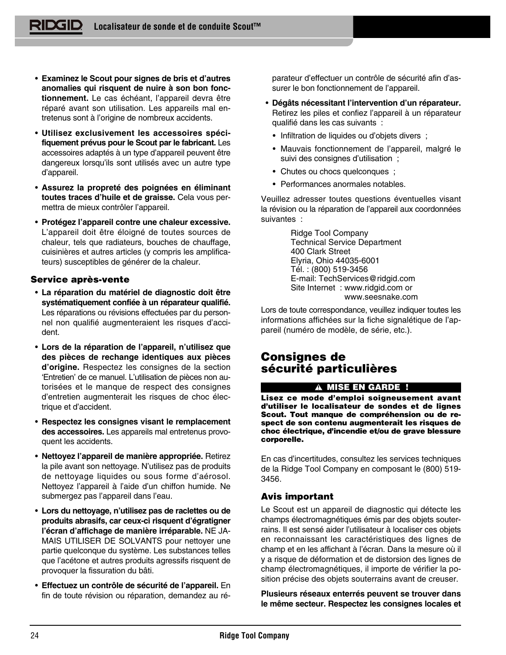- **Examinez le Scout pour signes de bris et d'autres anomalies qui risquent de nuire à son bon fonctionnement.** Le cas échéant, l'appareil devra être réparé avant son utilisation. Les appareils mal entretenus sont à l'origine de nombreux accidents.
- **Utilisez exclusivement les accessoires spécifiquement prévus pour le Scout par le fabricant.** Les accessoires adaptés à un type d'appareil peuvent être dangereux lorsqu'ils sont utilisés avec un autre type d'appareil.
- **Assurez la propreté des poignées en éliminant toutes traces d'huile et de graisse.** Cela vous permettra de mieux contrôler l'appareil.
- **Protégez l'appareil contre une chaleur excessive.** L'appareil doit être éloigné de toutes sources de chaleur, tels que radiateurs, bouches de chauffage, cuisinières et autres articles (y compris les amplificateurs) susceptibles de générer de la chaleur.

# **Service après-vente**

- **La réparation du matériel de diagnostic doit être systématiquement confiée à un réparateur qualifié.** Les réparations ou révisions effectuées par du personnel non qualifié augmenteraient les risques d'accident.
- **Lors de la réparation de l'appareil, n'utilisez que des pièces de rechange identiques aux pièces d'origine.** Respectez les consignes de la section 'Entretien' de ce manuel. L'utilisation de pièces non autorisées et le manque de respect des consignes d'entretien augmenterait les risques de choc électrique et d'accident.
- **Respectez les consignes visant le remplacement des accessoires.** Les appareils mal entretenus provoquent les accidents.
- **Nettoyez l'appareil de manière appropriée.** Retirez la pile avant son nettoyage. N'utilisez pas de produits de nettoyage liquides ou sous forme d'aérosol. Nettoyez l'appareil à l'aide d'un chiffon humide. Ne submergez pas l'appareil dans l'eau.
- **Lors du nettoyage, n'utilisez pas de raclettes ou de produits abrasifs, car ceux-ci risquent d'égratigner l'écran d'affichage de manière irréparable.** NE JA-MAIS UTILISER DE SOLVANTS pour nettoyer une partie quelconque du système. Les substances telles que l'acétone et autres produits agressifs risquent de provoquer la fissuration du bâti.
- **Effectuez un contrôle de sécurité de l'appareil.** En fin de toute révision ou réparation, demandez au ré-

parateur d'effectuer un contrôle de sécurité afin d'assurer le bon fonctionnement de l'appareil.

- **Dégâts nécessitant l'intervention d'un réparateur.** Retirez les piles et confiez l'appareil à un réparateur qualifié dans les cas suivants :
	- Infiltration de liquides ou d'objets divers ;
	- Mauvais fonctionnement de l'appareil, malgré le suivi des consignes d'utilisation ;
	- Chutes ou chocs quelconques ;
	- Performances anormales notables.

Veuillez adresser toutes questions éventuelles visant la révision ou la réparation de l'appareil aux coordonnées suivantes :

> Ridge Tool Company Technical Service Department 400 Clark Street Elyria, Ohio 44035-6001 Tél. : (800) 519-3456 E-mail: TechServices@ridgid.com Site Internet : www.ridgid.com or www.seesnake.com

Lors de toute correspondance, veuillez indiquer toutes les informations affichées sur la fiche signalétique de l'appareil (numéro de modèle, de série, etc.).

# **Consignes de sécurité particulières**

#### **MISE EN GARDE !**

**Lisez ce mode d'emploi soigneusement avant d'utiliser le localisateur de sondes et de lignes Scout. Tout manque de compréhension ou de respect de son contenu augmenterait les risques de choc électrique, d'incendie et/ou de grave blessure corporelle.**

En cas d'incertitudes, consultez les services techniques de la Ridge Tool Company en composant le (800) 519- 3456.

# **Avis important**

Le Scout est un appareil de diagnostic qui détecte les champs électromagnétiques émis par des objets souterrains. Il est sensé aider l'utilisateur à localiser ces objets en reconnaissant les caractéristiques des lignes de champ et en les affichant à l'écran. Dans la mesure où il y a risque de déformation et de distorsion des lignes de champ électromagnétiques, il importe de vérifier la position précise des objets souterrains avant de creuser.

**Plusieurs réseaux enterrés peuvent se trouver dans le même secteur. Respectez les consignes locales et**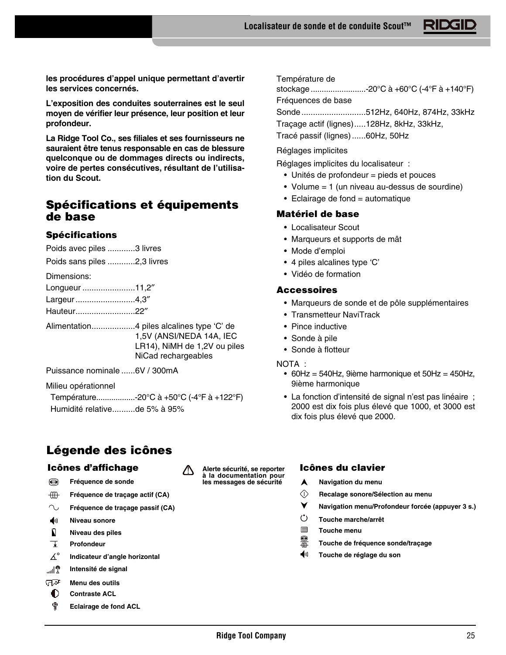**les procédures d'appel unique permettant d'avertir les services concernés.**

**L'exposition des conduites souterraines est le seul moyen de vérifier leur présence, leur position et leur profondeur.**

**La Ridge Tool Co., ses filiales et ses fournisseurs ne sauraient être tenus responsable en cas de blessure quelconque ou de dommages directs ou indirects, voire de pertes consécutives, résultant de l'utilisation du Scout.**

# **Spécifications et équipements de base**

# **Spécifications**

Poids avec piles ............3 livres

Poids sans piles ............2,3 livres

Dimensions:

| Longueur 11,2" |  |
|----------------|--|
| Largeur4,3"    |  |
| Hauteur22"     |  |

| 1,5V (ANSI/NEDA 14A, IEC     |
|------------------------------|
| LR14), NiMH de 1,2V ou piles |
| NiCad rechargeables          |

Puissance nominale ......6V / 300mA

Milieu opérationnel

Température..................-20°C à +50°C (-4°F à +122°F) Humidité relative..........de 5% à 95%

# **Légende des icônes**

# **Icônes d'affichage Icônes du clavier**

- € **Fréquence de sonde**
- $\oplus$ **Fréquence de traçage actif (CA)**
- $\sim$ **Fréquence de traçage passif (CA)**
- $\blacklozenge$ **Niveau sonore**
- $\mathbf{r}$ **Niveau des piles**
- $\top$ **Profondeur**
- $\Delta^\circ$ **Indicateur d'angle horizontal**
- **®اس Intensité de signal**
- ਾਕ **Menu des outils**
- 0 **Contraste ACL**
- ø **Eclairage de fond ACL**

Température de

stockage.........................-20°C à +60°C (-4°F à +140°F)

Fréquences de base

Sonde............................512Hz, 640Hz, 874Hz, 33kHz

Traçage actif (lignes).....128Hz, 8kHz, 33kHz,

Tracé passif (lignes)......60Hz, 50Hz

Réglages implicites

Réglages implicites du localisateur :

- Unités de profondeur = pieds et pouces
- Volume = 1 (un niveau au-dessus de sourdine)
- Eclairage de fond = automatique

# **Matériel de base**

- Localisateur Scout
- Marqueurs et supports de mât
- Mode d'emploi
- 4 piles alcalines type 'C'
- Vidéo de formation

# **Accessoires**

- Marqueurs de sonde et de pôle supplémentaires
- Transmetteur NaviTrack
- Pince inductive
- Sonde à pile
- Sonde à flotteur

#### NOTA :

- 60Hz = 540Hz, 9ième harmonique et 50Hz = 450Hz, 9ième harmonique
- La fonction d'intensité de signal n'est pas linéaire ; 2000 est dix fois plus élevé que 1000, et 3000 est dix fois plus élevé que 2000.

- A **Navigation du menu**
- $\Diamond$ **Recalage sonore/Sélection au menu**
- Ý **Navigation menu/Profondeur forcée (appuyer 3 s.)**
- $\circ$ **Touche marche/arrêt**
- $\blacksquare$ **Touche menu**
- ●無 **Touche de fréquence sonde/traçage**
- (⊕) **Touche de réglage du son**

**Alerte sécurité, se reporter à la documentation pour les messages de sécurité**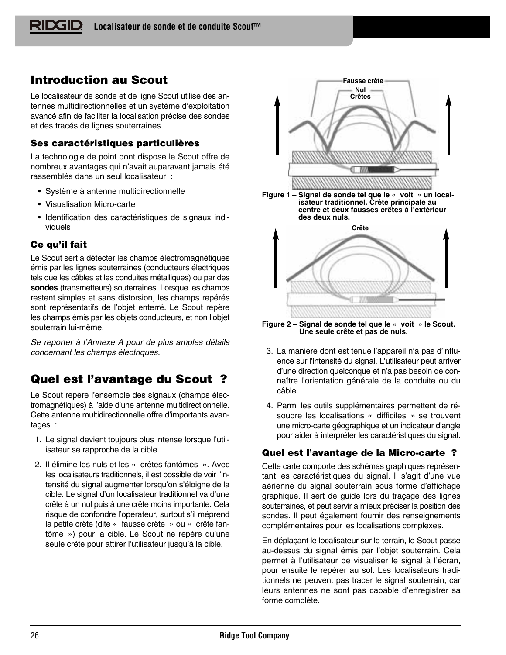# **Introduction au Scout**

Le localisateur de sonde et de ligne Scout utilise des antennes multidirectionnelles et un système d'exploitation avancé afin de faciliter la localisation précise des sondes et des tracés de lignes souterraines.

# **Ses caractéristiques particulières**

La technologie de point dont dispose le Scout offre de nombreux avantages qui n'avait auparavant jamais été rassemblés dans un seul localisateur :

- Système à antenne multidirectionnelle
- Visualisation Micro-carte
- Identification des caractéristiques de signaux individuels

# **Ce qu'il fait**

Le Scout sert à détecter les champs électromagnétiques émis par les lignes souterraines (conducteurs électriques tels que les câbles et les conduites métalliques) ou par des **sondes** (transmetteurs) souterraines. Lorsque les champs restent simples et sans distorsion, les champs repérés sont représentatifs de l'objet enterré. Le Scout repère les champs émis par les objets conducteurs, et non l'objet souterrain lui-même.

Se reporter à l'Annexe A pour de plus amples détails concernant les champs électriques.

# **Quel est l'avantage du Scout ?**

Le Scout repère l'ensemble des signaux (champs électromagnétiques) à l'aide d'une antenne multidirectionnelle. Cette antenne multidirectionnelle offre d'importants avantages :

- 1. Le signal devient toujours plus intense lorsque l'utilisateur se rapproche de la cible.
- 2. Il élimine les nuls et les « crêtes fantômes ». Avec les localisateurs traditionnels, il est possible de voir l'intensité du signal augmenter lorsqu'on s'éloigne de la cible. Le signal d'un localisateur traditionnel va d'une crête à un nul puis à une crête moins importante. Cela risque de confondre l'opérateur, surtout s'il méprend la petite crête (dite « fausse crête » ou « crête fantôme ») pour la cible. Le Scout ne repère qu'une seule crête pour attirer l'utilisateur jusqu'à la cible.



**Figure 2 – Signal de sonde tel que le « voit » le Scout. Une seule crête et pas de nuls.**

- 3. La manière dont est tenue l'appareil n'a pas d'influence sur l'intensité du signal. L'utilisateur peut arriver d'une direction quelconque et n'a pas besoin de connaître l'orientation générale de la conduite ou du câble.
- 4. Parmi les outils supplémentaires permettent de résoudre les localisations « difficiles » se trouvent une micro-carte géographique et un indicateur d'angle pour aider à interpréter les caractéristiques du signal.

# **Quel est l'avantage de la Micro-carte ?**

Cette carte comporte des schémas graphiques représentant les caractéristiques du signal. Il s'agit d'une vue aérienne du signal souterrain sous forme d'affichage graphique. Il sert de guide lors du traçage des lignes souterraines, et peut servir à mieux préciser la position des sondes. Il peut également fournir des renseignements complémentaires pour les localisations complexes.

En déplaçant le localisateur sur le terrain, le Scout passe au-dessus du signal émis par l'objet souterrain. Cela permet à l'utilisateur de visualiser le signal à l'écran, pour ensuite le repérer au sol. Les localisateurs traditionnels ne peuvent pas tracer le signal souterrain, car leurs antennes ne sont pas capable d'enregistrer sa forme complète.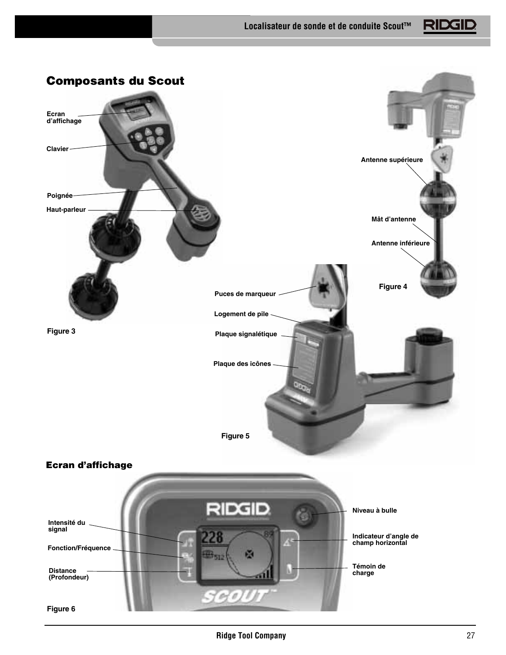

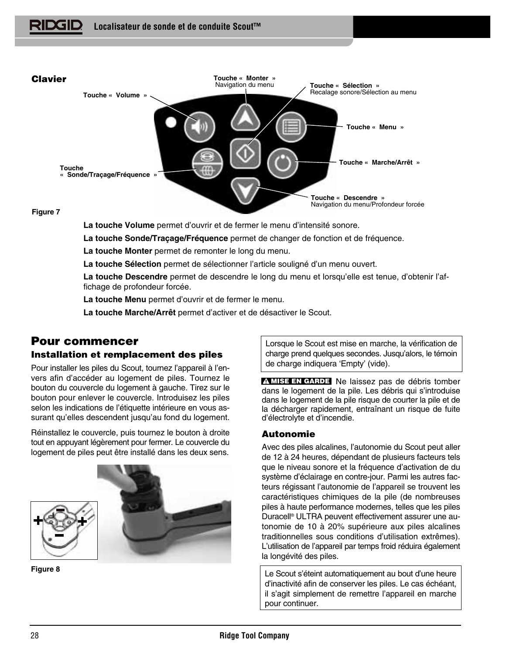

## **Figure 7**

**La touche Volume** permet d'ouvrir et de fermer le menu d'intensité sonore.

**La touche Sonde/Traçage/Fréquence** permet de changer de fonction et de fréquence.

**La touche Monter** permet de remonter le long du menu.

**La touche Sélection** permet de sélectionner l'article souligné d'un menu ouvert.

**La touche Descendre** permet de descendre le long du menu et lorsqu'elle est tenue, d'obtenir l'affichage de profondeur forcée.

**La touche Menu** permet d'ouvrir et de fermer le menu.

**La touche Marche/Arrêt** permet d'activer et de désactiver le Scout.

# **Pour commencer**

# **Installation et remplacement des piles**

Pour installer les piles du Scout, tournez l'appareil à l'envers afin d'accéder au logement de piles. Tournez le bouton du couvercle du logement à gauche. Tirez sur le bouton pour enlever le couvercle. Introduisez les piles selon les indications de l'étiquette intérieure en vous assurant qu'elles descendent jusqu'au fond du logement.

Réinstallez le couvercle, puis tournez le bouton à droite tout en appuyant légèrement pour fermer. Le couvercle du logement de piles peut être installé dans les deux sens.



**Figure 8**

Lorsque le Scout est mise en marche, la vérification de charge prend quelques secondes. Jusqu'alors, le témoin de charge indiquera 'Empty' (vide).

**MISE EN GARDE** Ne laissez pas de débris tomber dans le logement de la pile. Les débris qui s'introduise dans le logement de la pile risque de courter la pile et de la décharger rapidement, entraînant un risque de fuite d'électrolyte et d'incendie.

# **Autonomie**

Avec des piles alcalines, l'autonomie du Scout peut aller de 12 à 24 heures, dépendant de plusieurs facteurs tels que le niveau sonore et la fréquence d'activation de du système d'éclairage en contre-jour. Parmi les autres facteurs régissant l'autonomie de l'appareil se trouvent les caractéristiques chimiques de la pile (de nombreuses piles à haute performance modernes, telles que les piles Duracell® ULTRA peuvent effectivement assurer une autonomie de 10 à 20% supérieure aux piles alcalines traditionnelles sous conditions d'utilisation extrêmes). L'utilisation de l'appareil par temps froid réduira également la longévité des piles.

Le Scout s'éteint automatiquement au bout d'une heure d'inactivité afin de conserver les piles. Le cas échéant, il s'agit simplement de remettre l'appareil en marche pour continuer.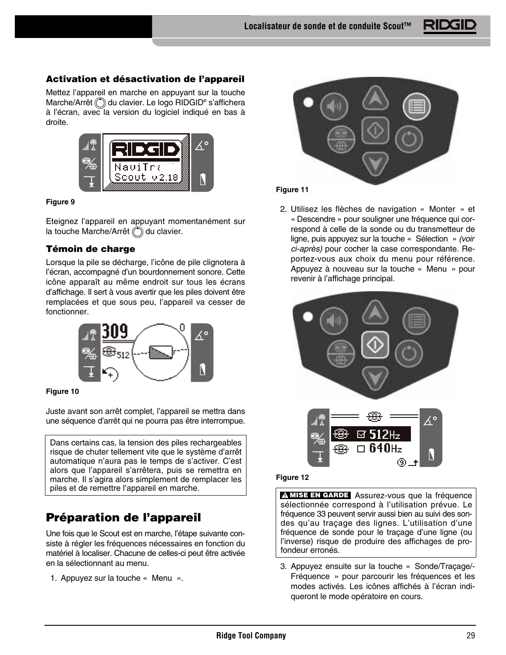# **Activation et désactivation de l'appareil**

Mettez l'appareil en marche en appuyant sur la touche Marche/Arrêt  $\binom{4}{3}$  du clavier. Le logo RIDGID® s'affichera à l'écran, avec la version du logiciel indiqué en bas à droite.



## **Figure 9**

Eteignez l'appareil en appuyant momentanément sur la touche Marche/Arrêt (C) du clavier.

# **Témoin de charge**

Lorsque la pile se décharge, l'icône de pile clignotera à l'écran, accompagné d'un bourdonnement sonore. Cette icône apparaît au même endroit sur tous les écrans d'affichage. Il sert à vous avertir que les piles doivent être remplacées et que sous peu, l'appareil va cesser de fonctionner.





Juste avant son arrêt complet, l'appareil se mettra dans une séquence d'arrêt qui ne pourra pas être interrompue.

Dans certains cas, la tension des piles rechargeables risque de chuter tellement vite que le système d'arrêt automatique n'aura pas le temps de s'activer. C'est alors que l'appareil s'arrêtera, puis se remettra en marche. Il s'agira alors simplement de remplacer les

# **Préparation de l'appareil**

Une fois que le Scout est en marche, l'étape suivante consiste à régler les fréquences nécessaires en fonction du matériel à localiser. Chacune de celles-ci peut être activée en la sélectionnant au menu.

1. Appuyez sur la touche « Menu ».



# **Figure 11**

2. Utilisez les flèches de navigation « Monter » et « Descendre » pour souligner une fréquence qui correspond à celle de la sonde ou du transmetteur de ligne, puis appuyez sur la touche « Sélection » (voir ci-après) pour cocher la case correspondante. Reportez-vous aux choix du menu pour référence. Appuyez à nouveau sur la touche « Menu » pour revenir à l'affichage principal.



#### **Figure 12**

piles et de remettre l'appareil en marche.<br> **ASSUREZ-VOUS QUE LA FRÉQUENCE EN GARDE** Assurez-vous que la fréquence sélectionnée correspond à l'utilisation prévue. Le fréquence 33 peuvent servir aussi bien au suivi des sondes qu'au traçage des lignes. L'utilisation d'une fréquence de sonde pour le traçage d'une ligne (ou l'inverse) risque de produire des affichages de profondeur erronés.

> 3. Appuyez ensuite sur la touche « Sonde/Traçage/- Fréquence » pour parcourir les fréquences et les modes activés. Les icônes affichés à l'écran indiqueront le mode opératoire en cours.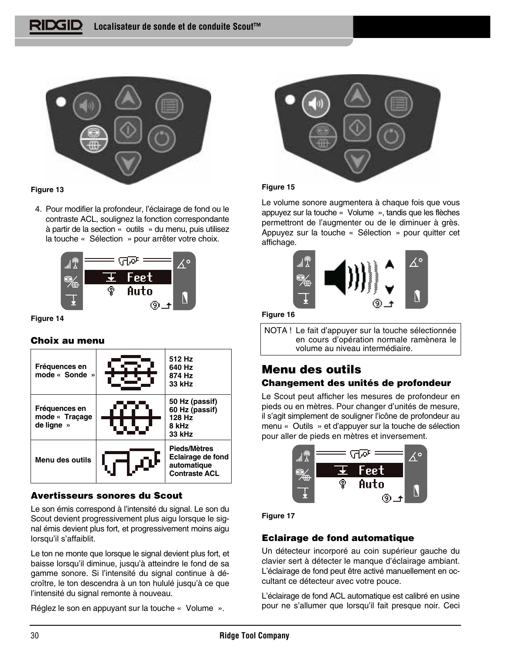

# **Figure 13**

4. Pour modifier la profondeur, l'éclairage de fond ou le contraste ACL, soulignez la fonction correspondante à partir de la section « outils » du menu, puis utilisez la touche « Sélection » pour arrêter votre choix.



#### **Figure 14**

# **Choix au menu**



# **Avertisseurs sonores du Scout**

Le son émis correspond à l'intensité du signal. Le son du Scout devient progressivement plus aigu lorsque le signal émis devient plus fort, et progressivement moins aigu lorsqu'il s'affaiblit.

Le ton ne monte que lorsque le signal devient plus fort, et baisse lorsqu'il diminue, jusqu'à atteindre le fond de sa gamme sonore. Si l'intensité du signal continue à décroître, le ton descendra à un ton hululé jusqu'à ce que l'intensité du signal remonte à nouveau.

Réglez le son en appuyant sur la touche « Volume ».



# **Figure 15**

Le volume sonore augmentera à chaque fois que vous appuyez sur la touche « Volume », tandis que les flèches permettront de l'augmenter ou de le diminuer à grès. Appuyez sur la touche « Sélection » pour quitter cet affichage.



# **Figure 16**

NOTA ! Le fait d'appuyer sur la touche sélectionnée en cours d'opération normale ramènera le volume au niveau intermédiaire.

# **Menu des outils**

# **Changement des unités de profondeur**

Le Scout peut afficher les mesures de profondeur en pieds ou en mètres. Pour changer d'unités de mesure, il s'agit simplement de souligner l'icône de profondeur au menu « Outils » et d'appuyer sur la touche de sélection pour aller de pieds en mètres et inversement.



**Figure 17**

# **Eclairage de fond automatique**

Un détecteur incorporé au coin supérieur gauche du clavier sert à détecter le manque d'éclairage ambiant. L'éclairage de fond peut être activé manuellement en occultant ce détecteur avec votre pouce.

L'éclairage de fond ACL automatique est calibré en usine pour ne s'allumer que lorsqu'il fait presque noir. Ceci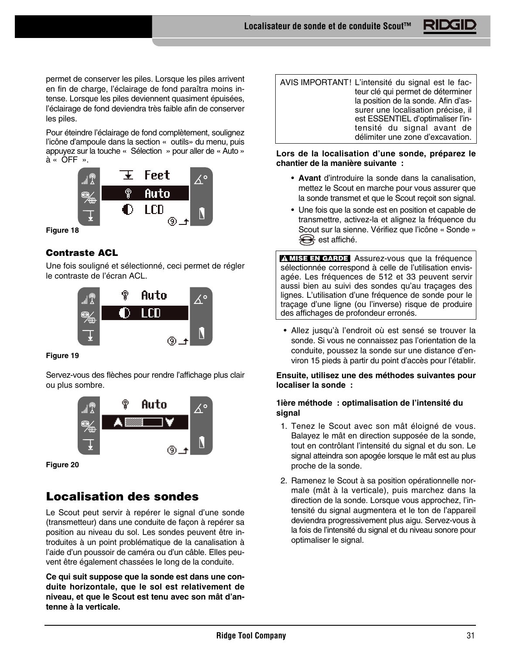permet de conserver les piles. Lorsque les piles arrivent en fin de charge, l'éclairage de fond paraîtra moins intense. Lorsque les piles deviennent quasiment épuisées, l'éclairage de fond deviendra très faible afin de conserver les piles.

Pour éteindre l'éclairage de fond complètement, soulignez l'icône d'ampoule dans la section « outils» du menu, puis appuyez sur la touche « Sélection » pour aller de « Auto » à « OFF ».



**Figure 18**

# **Contraste ACL**

Une fois souligné et sélectionné, ceci permet de régler le contraste de l'écran ACL.



**Figure 19**

Servez-vous des flèches pour rendre l'affichage plus clair ou plus sombre.



**Figure 20**

# **Localisation des sondes**

Le Scout peut servir à repérer le signal d'une sonde (transmetteur) dans une conduite de façon à repérer sa position au niveau du sol. Les sondes peuvent être introduites à un point problématique de la canalisation à l'aide d'un poussoir de caméra ou d'un câble. Elles peuvent être également chassées le long de la conduite.

**Ce qui suit suppose que la sonde est dans une conduite horizontale, que le sol est relativement de niveau, et que le Scout est tenu avec son mât d'antenne à la verticale.**

AVIS IMPORTANT! L'intensité du signal est le facteur clé qui permet de déterminer la position de la sonde. Afin d'assurer une localisation précise, il est ESSENTIEL d'optimaliser l'intensité du signal avant de délimiter une zone d'excavation.

# **Lors de la localisation d'une sonde, préparez le chantier de la manière suivante :**

- **Avant** d'introduire la sonde dans la canalisation, mettez le Scout en marche pour vous assurer que la sonde transmet et que le Scout reçoit son signal.
- Une fois que la sonde est en position et capable de transmettre, activez-la et alignez la fréquence du Scout sur la sienne. Vérifiez que l'icône « Sonde »  $\bigotimes$  est affiché.

**MISE EN GARDE** Assurez-vous que la fréquence sélectionnée correspond à celle de l'utilisation envisagée. Les fréquences de 512 et 33 peuvent servir aussi bien au suivi des sondes qu'au traçages des lignes. L'utilisation d'une fréquence de sonde pour le traçage d'une ligne (ou l'inverse) risque de produire des affichages de profondeur erronés.

• Allez jusqu'à l'endroit où est sensé se trouver la sonde. Si vous ne connaissez pas l'orientation de la conduite, poussez la sonde sur une distance d'environ 15 pieds à partir du point d'accès pour l'établir.

# **Ensuite, utilisez une des méthodes suivantes pour localiser la sonde :**

# **1ière méthode : optimalisation de l'intensité du signal**

- 1. Tenez le Scout avec son mât éloigné de vous. Balayez le mât en direction supposée de la sonde, tout en contrôlant l'intensité du signal et du son. Le signal atteindra son apogée lorsque le mât est au plus proche de la sonde.
- 2. Ramenez le Scout à sa position opérationnelle normale (mât à la verticale), puis marchez dans la direction de la sonde. Lorsque vous approchez, l'intensité du signal augmentera et le ton de l'appareil deviendra progressivement plus aigu. Servez-vous à la fois de l'intensité du signal et du niveau sonore pour optimaliser le signal.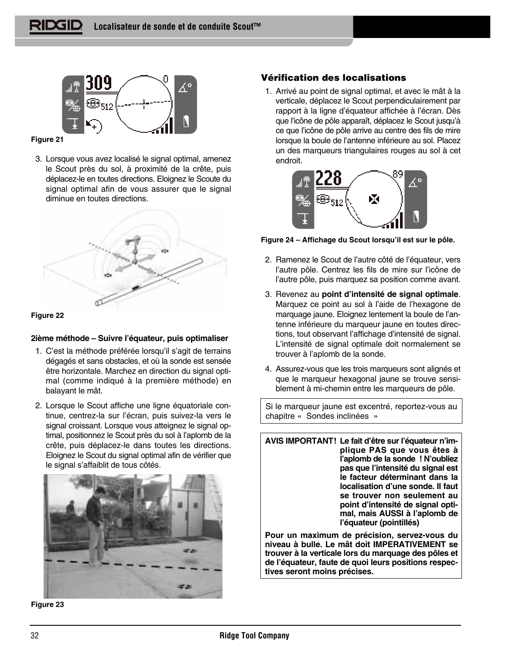

#### **Figure 21**

3. Lorsque vous avez localisé le signal optimal, amenez le Scout près du sol, à proximité de la crête, puis déplacez-le en toutes directions. Eloignez le Scoute du signal optimal afin de vous assurer que le signal diminue en toutes directions.





# **2ième méthode – Suivre l'équateur, puis optimaliser**

- 1. C'est la méthode préférée lorsqu'il s'agit de terrains dégagés et sans obstacles, et où la sonde est sensée être horizontale. Marchez en direction du signal optimal (comme indiqué à la première méthode) en balayant le mât.
- 2. Lorsque le Scout affiche une ligne équatoriale continue, centrez-la sur l'écran, puis suivez-la vers le signal croissant. Lorsque vous atteignez le signal optimal, positionnez le Scout près du sol à l'aplomb de la crête, puis déplacez-le dans toutes les directions. Eloignez le Scout du signal optimal afin de vérifier que le signal s'affaiblit de tous côtés.



**Figure 23**

# **Vérification des localisations**

1. Arrivé au point de signal optimal, et avec le mât à la verticale, déplacez le Scout perpendiculairement par rapport à la ligne d'équateur affichée à l'écran. Dès que l'icône de pôle apparaît, déplacez le Scout jusqu'à ce que l'icône de pôle arrive au centre des fils de mire lorsque la boule de l'antenne inférieure au sol. Placez un des marqueurs triangulaires rouges au sol à cet endroit.



**Figure 24 – Affichage du Scout lorsqu'il est sur le pôle.**

- 2. Ramenez le Scout de l'autre côté de l'équateur, vers l'autre pôle. Centrez les fils de mire sur l'icône de l'autre pôle, puis marquez sa position comme avant.
- 3. Revenez au **point d'intensité de signal optimale**. Marquez ce point au sol à l'aide de l'hexagone de marquage jaune. Eloignez lentement la boule de l'antenne inférieure du marqueur jaune en toutes directions, tout observant l'affichage d'intensité de signal. L'intensité de signal optimale doit normalement se trouver à l'aplomb de la sonde.
- 4. Assurez-vous que les trois marqueurs sont alignés et que le marqueur hexagonal jaune se trouve sensiblement à mi-chemin entre les marqueurs de pôle.

Si le marqueur jaune est excentré, reportez-vous au chapitre « Sondes inclinées »

**AVIS IMPORTANT! Le fait d'être sur l'équateur n'implique PAS que vous êtes à l'aplomb de la sonde ! N'oubliez pas que l'intensité du signal est le facteur déterminant dans la localisation d'une sonde. Il faut se trouver non seulement au point d'intensité de signal optimal, mais AUSSI à l'aplomb de l'équateur (pointillés)**

**Pour un maximum de précision, servez-vous du niveau à bulle. Le mât doit IMPERATIVEMENT se trouver à la verticale lors du marquage des pôles et de l'équateur, faute de quoi leurs positions respectives seront moins précises.**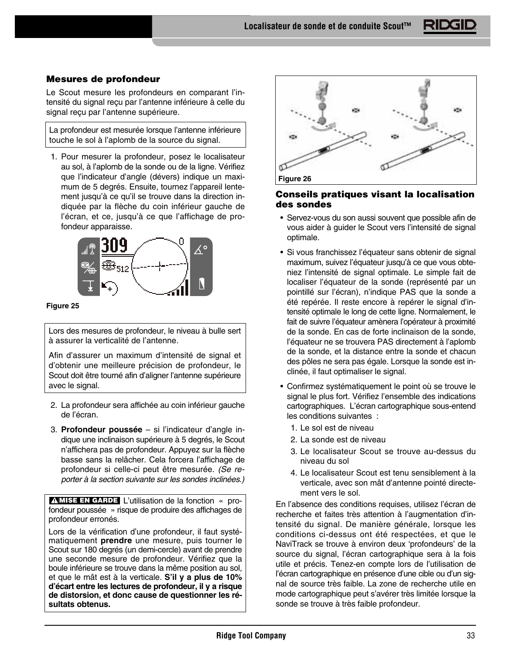**Localisateur de sonde et de conduite Scout™**

# **Mesures de profondeur**

Le Scout mesure les profondeurs en comparant l'intensité du signal reçu par l'antenne inférieure à celle du signal reçu par l'antenne supérieure.

La profondeur est mesurée lorsque l'antenne inférieure touche le sol à l'aplomb de la source du signal.

1. Pour mesurer la profondeur, posez le localisateur au sol, à l'aplomb de la sonde ou de la ligne. Vérifiez que l'indicateur d'angle (dévers) indique un maximum de 5 degrés. Ensuite, tournez l'appareil lentement jusqu'à ce qu'il se trouve dans la direction indiquée par la flèche du coin inférieur gauche de l'écran, et ce, jusqu'à ce que l'affichage de profondeur apparaisse.



#### **Figure 25**

Lors des mesures de profondeur, le niveau à bulle sert à assurer la verticalité de l'antenne.

Afin d'assurer un maximum d'intensité de signal et d'obtenir une meilleure précision de profondeur, le Scout doit être tourné afin d'aligner l'antenne supérieure avec le signal.

- 2. La profondeur sera affichée au coin inférieur gauche de l'écran.
- 3. **Profondeur poussée** si l'indicateur d'angle indique une inclinaison supérieure à 5 degrés, le Scout n'affichera pas de profondeur. Appuyez sur la flèche basse sans la relâcher. Cela forcera l'affichage de profondeur si celle-ci peut être mesurée. (Se reporter à la section suivante sur les sondes inclinées.)

**MISE EN GARDE** L'utilisation de la fonction « profondeur poussée » risque de produire des affichages de profondeur erronés.

Lors de la vérification d'une profondeur, il faut systématiquement **prendre** une mesure, puis tourner le Scout sur 180 degrés (un demi-cercle) avant de prendre une seconde mesure de profondeur. Vérifiez que la boule inférieure se trouve dans la même position au sol, et que le mât est à la verticale. **S'il y a plus de 10% d'écart entre les lectures de profondeur, il y a risque de distorsion, et donc cause de questionner les résultats obtenus.**



# **Conseils pratiques visant la localisation des sondes**

- Servez-vous du son aussi souvent que possible afin de vous aider à guider le Scout vers l'intensité de signal optimale.
- Si vous franchissez l'équateur sans obtenir de signal maximum, suivez l'équateur jusqu'à ce que vous obteniez l'intensité de signal optimale. Le simple fait de localiser l'équateur de la sonde (représenté par un pointillé sur l'écran), n'indique PAS que la sonde a été repérée. Il reste encore à repérer le signal d'intensité optimale le long de cette ligne. Normalement, le fait de suivre l'équateur amènera l'opérateur à proximité de la sonde. En cas de forte inclinaison de la sonde, l'équateur ne se trouvera PAS directement à l'aplomb de la sonde, et la distance entre la sonde et chacun des pôles ne sera pas égale. Lorsque la sonde est inclinée, il faut optimaliser le signal.
- Confirmez systématiquement le point où se trouve le signal le plus fort. Vérifiez l'ensemble des indications cartographiques. L'écran cartographique sous-entend les conditions suivantes :
	- 1. Le sol est de niveau
	- 2. La sonde est de niveau
	- 3. Le localisateur Scout se trouve au-dessus du niveau du sol
	- 4. Le localisateur Scout est tenu sensiblement à la verticale, avec son mât d'antenne pointé directement vers le sol.

En l'absence des conditions requises, utilisez l'écran de recherche et faites très attention à l'augmentation d'intensité du signal. De manière générale, lorsque les conditions ci-dessus ont été respectées, et que le NaviTrack se trouve à environ deux 'profondeurs' de la source du signal, l'écran cartographique sera à la fois utile et précis. Tenez-en compte lors de l'utilisation de l'écran cartographique en présence d'une cible ou d'un signal de source très faible. La zone de recherche utile en mode cartographique peut s'avérer très limitée lorsque la sonde se trouve à très faible profondeur.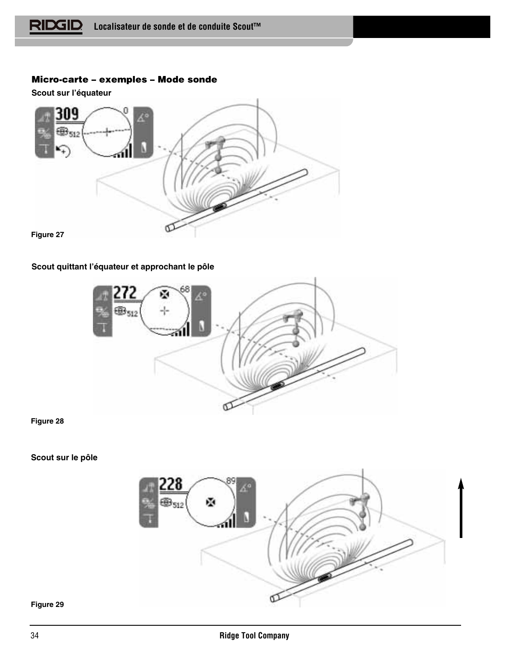# **Micro-carte – exemples – Mode sonde**

**Scout sur l'équateur**



# **Scout quittant l'équateur et approchant le pôle**

![](_page_35_Picture_5.jpeg)

# **Figure 28**

# **Scout sur le pôle**

![](_page_35_Picture_8.jpeg)

#### **Figure 29**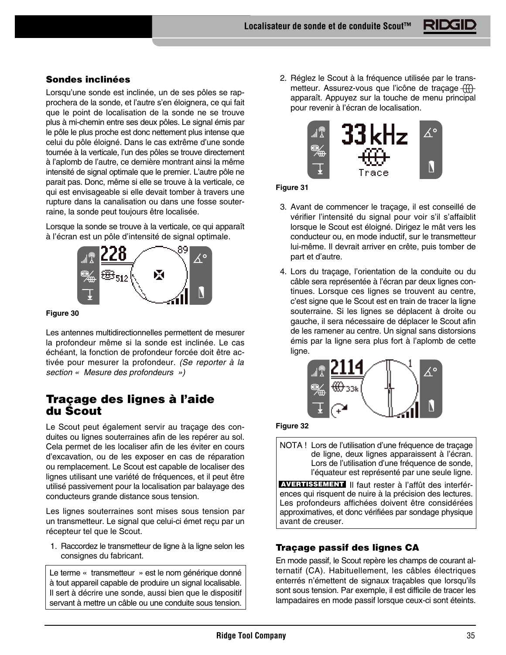# **Sondes inclinées**

Lorsqu'une sonde est inclinée, un de ses pôles se rapprochera de la sonde, et l'autre s'en éloignera, ce qui fait que le point de localisation de la sonde ne se trouve plus à mi-chemin entre ses deux pôles. Le signal émis par le pôle le plus proche est donc nettement plus intense que celui du pôle éloigné. Dans le cas extrême d'une sonde tournée à la verticale, l'un des pôles se trouve directement à l'aplomb de l'autre, ce dernière montrant ainsi la même intensité de signal optimale que le premier. L'autre pôle ne parait pas. Donc, même si elle se trouve à la verticale, ce qui est envisageable si elle devait tomber à travers une rupture dans la canalisation ou dans une fosse souterraine, la sonde peut toujours être localisée.

Lorsque la sonde se trouve à la verticale, ce qui apparaît à l'écran est un pôle d'intensité de signal optimale.

![](_page_36_Picture_4.jpeg)

#### **Figure 30**

Les antennes multidirectionnelles permettent de mesurer la profondeur même si la sonde est inclinée. Le cas échéant, la fonction de profondeur forcée doit être activée pour mesurer la profondeur. (Se reporter à la section « Mesure des profondeurs »)

# **Traçage des lignes à l'aide du Scout**

Le Scout peut également servir au traçage des conduites ou lignes souterraines afin de les repérer au sol. Cela permet de les localiser afin de les éviter en cours d'excavation, ou de les exposer en cas de réparation ou remplacement. Le Scout est capable de localiser des lignes utilisant une variété de fréquences, et il peut être utilisé passivement pour la localisation par balayage des conducteurs grande distance sous tension.

Les lignes souterraines sont mises sous tension par un transmetteur. Le signal que celui-ci émet reçu par un récepteur tel que le Scout.

1. Raccordez le transmetteur de ligne à la ligne selon les consignes du fabricant.

Le terme « transmetteur » est le nom générique donné à tout appareil capable de produire un signal localisable. Il sert à décrire une sonde, aussi bien que le dispositif servant à mettre un câble ou une conduite sous tension.

2. Réglez le Scout à la fréquence utilisée par le transmetteur. Assurez-vous que l'icône de tracage  $f(f)$ apparaît. Appuyez sur la touche de menu principal pour revenir à l'écran de localisation.

![](_page_36_Picture_13.jpeg)

# **Figure 31**

- 3. Avant de commencer le traçage, il est conseillé de vérifier l'intensité du signal pour voir s'il s'affaiblit lorsque le Scout est éloigné. Dirigez le mât vers les conducteur ou, en mode inductif, sur le transmetteur lui-même. Il devrait arriver en crête, puis tomber de part et d'autre.
- 4. Lors du traçage, l'orientation de la conduite ou du câble sera représentée à l'écran par deux lignes continues. Lorsque ces lignes se trouvent au centre, c'est signe que le Scout est en train de tracer la ligne souterraine. Si les lignes se déplacent à droite ou gauche, il sera nécessaire de déplacer le Scout afin de les ramener au centre. Un signal sans distorsions émis par la ligne sera plus fort à l'aplomb de cette ligne.

![](_page_36_Figure_17.jpeg)

#### **Figure 32**

NOTA ! Lors de l'utilisation d'une fréquence de traçage de ligne, deux lignes apparaissent à l'écran. Lors de l'utilisation d'une fréquence de sonde, l'équateur est représenté par une seule ligne.

**AVERTISSEMENT** II faut rester à l'affût des interférences qui risquent de nuire à la précision des lectures. Les profondeurs affichées doivent être considérées approximatives, et donc vérifiées par sondage physique avant de creuser.

# **Traçage passif des lignes CA**

En mode passif, le Scout repère les champs de courant alternatif (CA). Habituellement, les câbles électriques enterrés n'émettent de signaux traçables que lorsqu'ils sont sous tension. Par exemple, il est difficile de tracer les lampadaires en mode passif lorsque ceux-ci sont éteints.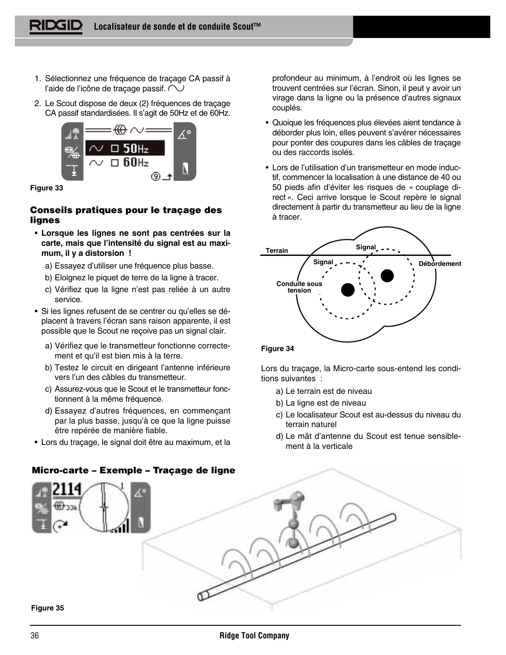- 1. Sélectionnez une fréquence de traçage CA passif à l'aide de l'icône de traçage passif.  $\sim$
- 2. Le Scout dispose de deux (2) fréquences de traçage CA passif standardisées. Il s'agit de 50Hz et de 60Hz.

![](_page_37_Picture_3.jpeg)

**Figure 33**

# **Conseils pratiques pour le traçage des lignes**

- **Lorsque les lignes ne sont pas centrées sur la carte, mais que l'intensité du signal est au maximum, il y a distorsion !**
	- a) Essayez d'utiliser une fréquence plus basse.
	- b) Eloignez le piquet de terre de la ligne à tracer.
	- c) Vérifiez que la ligne n'est pas reliée à un autre service.
- Si les lignes refusent de se centrer ou qu'elles se déplacent à travers l'écran sans raison apparente, il est possible que le Scout ne reçoive pas un signal clair.
	- a) Vérifiez que le transmetteur fonctionne correctement et qu'il est bien mis à la terre.
	- b) Testez le circuit en dirigeant l'antenne inférieure vers l'un des câbles du transmetteur.
	- c) Assurez-vous que le Scout et le transmetteur fonctionnent à la même fréquence.
	- d) Essayez d'autres fréquences, en commençant par la plus basse, jusqu'à ce que la ligne puisse être repérée de manière fiable.
- Lors du traçage, le signal doit être au maximum, et la

profondeur au minimum, à l'endroit où les lignes se trouvent centrées sur l'écran. Sinon, il peut y avoir un virage dans la ligne ou la présence d'autres signaux couplés.

- Quoique les fréquences plus élevées aient tendance à déborder plus loin, elles peuvent s'avérer nécessaires pour ponter des coupures dans les câbles de traçage ou des raccords isolés.
- Lors de l'utilisation d'un transmetteur en mode inductif, commencer la localisation à une distance de 40 ou 50 pieds afin d'éviter les risques de « couplage direct ». Ceci arrive lorsque le Scout repère le signal directement à partir du transmetteur au lieu de la ligne à tracer.

![](_page_37_Figure_19.jpeg)

#### **Figure 34**

Lors du traçage, la Micro-carte sous-entend les conditions suivantes :

- a) Le terrain est de niveau
- b) La ligne est de niveau
- c) Le localisateur Scout est au-dessus du niveau du terrain naturel
- d) Le mât d'antenne du Scout est tenue sensiblement à la verticale

![](_page_37_Figure_26.jpeg)

## **Figure 35**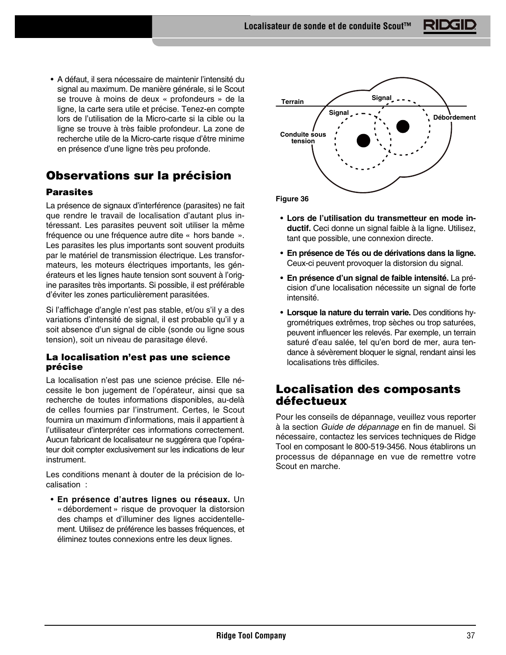• A défaut, il sera nécessaire de maintenir l'intensité du signal au maximum. De manière générale, si le Scout se trouve à moins de deux « profondeurs » de la ligne, la carte sera utile et précise. Tenez-en compte lors de l'utilisation de la Micro-carte si la cible ou la ligne se trouve à très faible profondeur. La zone de recherche utile de la Micro-carte risque d'être minime en présence d'une ligne très peu profonde.

# **Observations sur la précision**

# **Parasites**

La présence de signaux d'interférence (parasites) ne fait que rendre le travail de localisation d'autant plus intéressant. Les parasites peuvent soit utiliser la même fréquence ou une fréquence autre dite « hors bande ». Les parasites les plus importants sont souvent produits par le matériel de transmission électrique. Les transformateurs, les moteurs électriques importants, les générateurs et les lignes haute tension sont souvent à l'origine parasites très importants. Si possible, il est préférable d'éviter les zones particulièrement parasitées.

Si l'affichage d'angle n'est pas stable, et/ou s'il y a des variations d'intensité de signal, il est probable qu'il y a soit absence d'un signal de cible (sonde ou ligne sous tension), soit un niveau de parasitage élevé.

# **La localisation n'est pas une science précise**

La localisation n'est pas une science précise. Elle nécessite le bon jugement de l'opérateur, ainsi que sa recherche de toutes informations disponibles, au-delà de celles fournies par l'instrument. Certes, le Scout fournira un maximum d'informations, mais il appartient à l'utilisateur d'interpréter ces informations correctement. Aucun fabricant de localisateur ne suggérera que l'opérateur doit compter exclusivement sur les indications de leur instrument.

Les conditions menant à douter de la précision de localisation :

• **En présence d'autres lignes ou réseaux.** Un « débordement » risque de provoquer la distorsion des champs et d'illuminer des lignes accidentellement. Utilisez de préférence les basses fréquences, et éliminez toutes connexions entre les deux lignes.

![](_page_38_Figure_10.jpeg)

• **Lors de l'utilisation du transmetteur en mode inductif.** Ceci donne un signal faible à la ligne. Utilisez, tant que possible, une connexion directe.

- **En présence de Tés ou de dérivations dans la ligne.** Ceux-ci peuvent provoquer la distorsion du signal.
- **En présence d'un signal de faible intensité.** La précision d'une localisation nécessite un signal de forte intensité.
- **Lorsque la nature du terrain varie.** Des conditions hygrométriques extrêmes, trop sèches ou trop saturées, peuvent influencer les relevés. Par exemple, un terrain saturé d'eau salée, tel qu'en bord de mer, aura tendance à sévèrement bloquer le signal, rendant ainsi les localisations très difficiles.

# **Localisation des composants défectueux**

Pour les conseils de dépannage, veuillez vous reporter à la section Guide de dépannage en fin de manuel. Si nécessaire, contactez les services techniques de Ridge Tool en composant le 800-519-3456. Nous établirons un processus de dépannage en vue de remettre votre Scout en marche.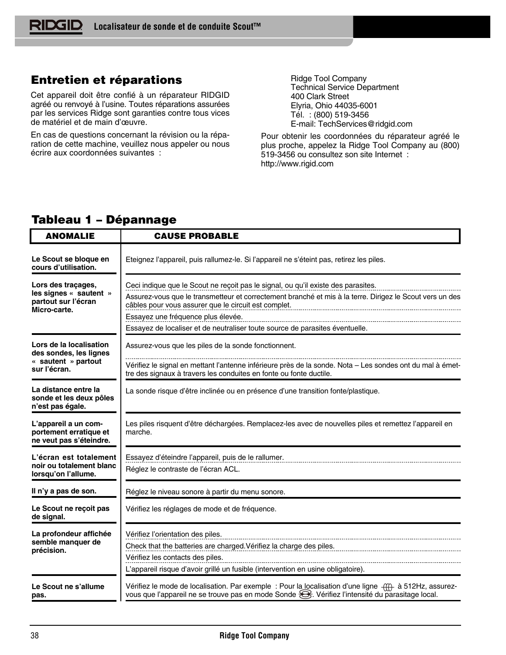# **Entretien et réparations**

Cet appareil doit être confié à un réparateur RIDGID agréé ou renvoyé à l'usine. Toutes réparations assurées par les services Ridge sont garanties contre tous vices de matériel et de main d'œuvre.

En cas de questions concernant la révision ou la réparation de cette machine, veuillez nous appeler ou nous écrire aux coordonnées suivantes :

Ridge Tool Company Technical Service Department 400 Clark Street Elyria, Ohio 44035-6001 Tél. : (800) 519-3456 E-mail: TechServices@ridgid.com

Pour obtenir les coordonnées du réparateur agréé le plus proche, appelez la Ridge Tool Company au (800) 519-3456 ou consultez son site Internet : http://www.rigid.com

#### **ANOMALIE CAUSE PROBABLE Le Scout se bloque en** Eteignez l'appareil, puis rallumez-le. Si l'appareil ne s'éteint pas, retirez les piles. **cours d'utilisation. Lors des traçages,**  Ceci indique que le Scout ne reçoit pas le signal, ou qu'il existe des parasites. **les signes « sautent »** Assurez-vous que le transmetteur et correctement branché et mis à la terre. Dirigez le Scout vers un des **partout sur l'écran** câbles pour vous assurer que le circuit est complet. **Micro-carte.** Essayez une fréquence plus élevée. Essayez de localiser et de neutraliser toute source de parasites éventuelle. **Lors de la localisation** Assurez-vous que les piles de la sonde fonctionnent. **des sondes, les lignes « sautent » partout**  Vérifiez le signal en mettant l'antenne inférieure près de la sonde. Nota – Les sondes ont du mal à émet**sur l'écran.** tre des signaux à travers les conduites en fonte ou fonte ductile. **La distance entre la** La sonde risque d'être inclinée ou en présence d'une transition fonte/plastique. **sonde et les deux pôles n'est pas égale. L'appareil a un com-**Les piles risquent d'être déchargées. Remplacez-les avec de nouvelles piles et remettez l'appareil en **portement erratique et** marche. **ne veut pas s'éteindre. L'écran est totalement** Essayez d'éteindre l'appareil, puis de le rallumer. **noir ou totalement blanc** Réglez le contraste de l'écran ACL. **lorsqu'on l'allume. Il n'y a pas de son.** Réglez le niveau sonore à partir du menu sonore. **Le Scout ne reçoit pas** Vérifiez les réglages de mode et de fréquence. **de signal.** Vérifiez l'orientation des piles. **La profondeur affichée semble manquer de** Check that the batteries are charged.Vérifiez la charge des piles. **précision.** Vérifiez les contacts des piles. L'appareil risque d'avoir grillé un fusible (intervention en usine obligatoire). **Le Scout ne s'allume** Vérifiez le mode de localisation. Par exemple : Pour la localisation d'une ligne  $\frac{1}{(11)}$  à 512Hz, assurezvous que l'appareil ne se trouve pas en mode Sonde  $\mathfrak{B}$ . Vérifiez l'intensité du parasitage local. **pas.**

# **Tableau 1 – Dépannage**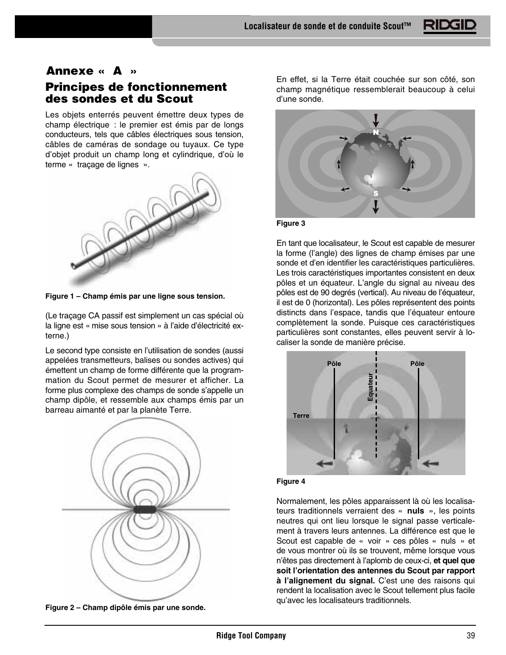# **Annexe « A »**

# **Principes de fonctionnement des sondes et du Scout**

Les objets enterrés peuvent émettre deux types de champ électrique : le premier est émis par de longs conducteurs, tels que câbles électriques sous tension, câbles de caméras de sondage ou tuyaux. Ce type d'objet produit un champ long et cylindrique, d'où le terme « traçage de lignes ».

![](_page_40_Figure_4.jpeg)

**Figure 1 – Champ émis par une ligne sous tension.**

(Le traçage CA passif est simplement un cas spécial où la ligne est « mise sous tension » à l'aide d'électricité externe.)

Le second type consiste en l'utilisation de sondes (aussi appelées transmetteurs, balises ou sondes actives) qui émettent un champ de forme différente que la programmation du Scout permet de mesurer et afficher. La forme plus complexe des champs de sonde s'appelle un champ dipôle, et ressemble aux champs émis par un barreau aimanté et par la planète Terre.

![](_page_40_Picture_8.jpeg)

**Figure 2 – Champ dipôle émis par une sonde.**

En effet, si la Terre était couchée sur son côté, son champ magnétique ressemblerait beaucoup à celui d'une sonde.

![](_page_40_Picture_11.jpeg)

**Figure 3**

En tant que localisateur, le Scout est capable de mesurer la forme (l'angle) des lignes de champ émises par une sonde et d'en identifier les caractéristiques particulières. Les trois caractéristiques importantes consistent en deux pôles et un équateur. L'angle du signal au niveau des pôles est de 90 degrés (vertical). Au niveau de l'équateur, il est de 0 (horizontal). Les pôles représentent des points distincts dans l'espace, tandis que l'équateur entoure complètement la sonde. Puisque ces caractéristiques particulières sont constantes, elles peuvent servir à localiser la sonde de manière précise.

![](_page_40_Picture_14.jpeg)

![](_page_40_Figure_15.jpeg)

Normalement, les pôles apparaissent là où les localisateurs traditionnels verraient des « **nuls** », les points neutres qui ont lieu lorsque le signal passe verticalement à travers leurs antennes. La différence est que le Scout est capable de « voir » ces pôles « nuls » et de vous montrer où ils se trouvent, même lorsque vous n'êtes pas directement à l'aplomb de ceux-ci, **et quel que soit l'orientation des antennes du Scout par rapport à l'alignement du signal.** C'est une des raisons qui rendent la localisation avec le Scout tellement plus facile qu'avec les localisateurs traditionnels.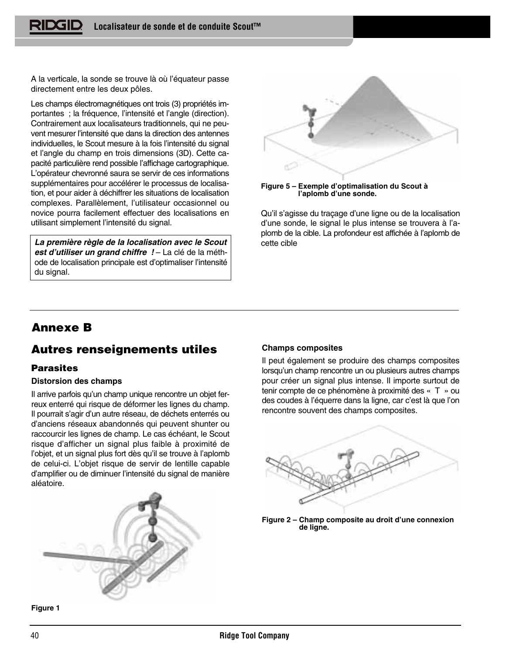A la verticale, la sonde se trouve là où l'équateur passe directement entre les deux pôles.

Les champs électromagnétiques ont trois (3) propriétés importantes ; la fréquence, l'intensité et l'angle (direction). Contrairement aux localisateurs traditionnels, qui ne peuvent mesurer l'intensité que dans la direction des antennes individuelles, le Scout mesure à la fois l'intensité du signal et l'angle du champ en trois dimensions (3D). Cette capacité particulière rend possible l'affichage cartographique. L'opérateur chevronné saura se servir de ces informations supplémentaires pour accélérer le processus de localisation, et pour aider à déchiffrer les situations de localisation complexes. Parallèlement, l'utilisateur occasionnel ou novice pourra facilement effectuer des localisations en utilisant simplement l'intensité du signal.

**La première règle de la localisation avec le Scout est d'utiliser un grand chiffre !** – La clé de la méthode de localisation principale est d'optimaliser l'intensité du signal.

![](_page_41_Figure_4.jpeg)

![](_page_41_Figure_5.jpeg)

Qu'il s'agisse du traçage d'une ligne ou de la localisation d'une sonde, le signal le plus intense se trouvera à l'aplomb de la cible. La profondeur est affichée à l'aplomb de cette cible

# **Annexe B**

# **Autres renseignements utiles**

# **Parasites**

# **Distorsion des champs**

Il arrive parfois qu'un champ unique rencontre un objet ferreux enterré qui risque de déformer les lignes du champ. Il pourrait s'agir d'un autre réseau, de déchets enterrés ou d'anciens réseaux abandonnés qui peuvent shunter ou raccourcir les lignes de champ. Le cas échéant, le Scout risque d'afficher un signal plus faible à proximité de l'objet, et un signal plus fort dès qu'il se trouve à l'aplomb de celui-ci. L'objet risque de servir de lentille capable d'amplifier ou de diminuer l'intensité du signal de manière aléatoire.

![](_page_41_Picture_12.jpeg)

**Figure 1**

# **Champs composites**

Il peut également se produire des champs composites lorsqu'un champ rencontre un ou plusieurs autres champs pour créer un signal plus intense. Il importe surtout de tenir compte de ce phénomène à proximité des « T » ou des coudes à l'équerre dans la ligne, car c'est là que l'on rencontre souvent des champs composites.

![](_page_41_Figure_16.jpeg)

![](_page_41_Figure_17.jpeg)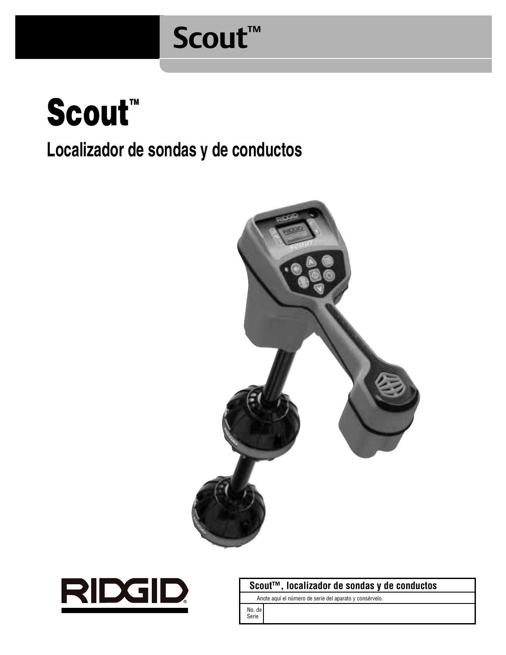# **Scout™**

![](_page_42_Picture_1.jpeg)

# **Localizador de sondas y de conductos**

![](_page_42_Picture_3.jpeg)

![](_page_42_Picture_4.jpeg)

**Scout™, localizador de sondas y de conductos**

Anote aquí el número de serie del aparato y consérvelo.

No. de Serie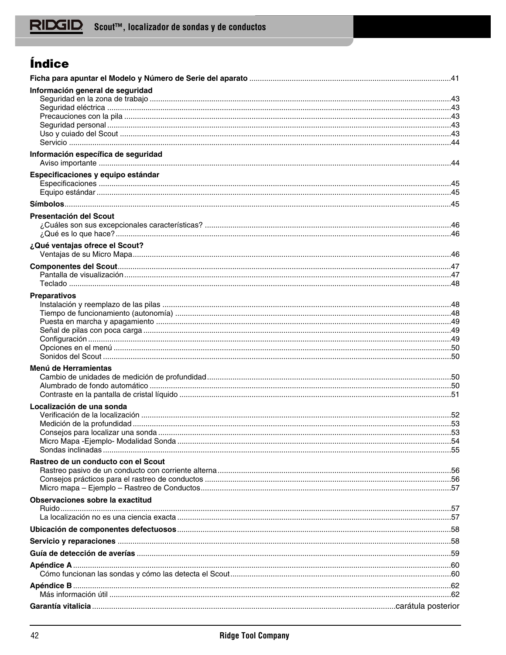# Índice

| Información general de seguridad    |  |
|-------------------------------------|--|
|                                     |  |
|                                     |  |
|                                     |  |
|                                     |  |
|                                     |  |
| Información específica de seguridad |  |
|                                     |  |
| Especificaciones y equipo estándar  |  |
|                                     |  |
|                                     |  |
|                                     |  |
| Presentación del Scout              |  |
|                                     |  |
|                                     |  |
| ¿Qué ventajas ofrece el Scout?      |  |
|                                     |  |
|                                     |  |
|                                     |  |
| <b>Preparativos</b>                 |  |
|                                     |  |
|                                     |  |
|                                     |  |
|                                     |  |
|                                     |  |
|                                     |  |
| Menú de Herramientas                |  |
|                                     |  |
|                                     |  |
|                                     |  |
| Localización de una sonda           |  |
|                                     |  |
|                                     |  |
|                                     |  |
|                                     |  |
|                                     |  |
| Rastreo de un conducto con el Scout |  |
|                                     |  |
|                                     |  |
| Observaciones sobre la exactitud    |  |
|                                     |  |
|                                     |  |
|                                     |  |
|                                     |  |
|                                     |  |
|                                     |  |
|                                     |  |
|                                     |  |
|                                     |  |
|                                     |  |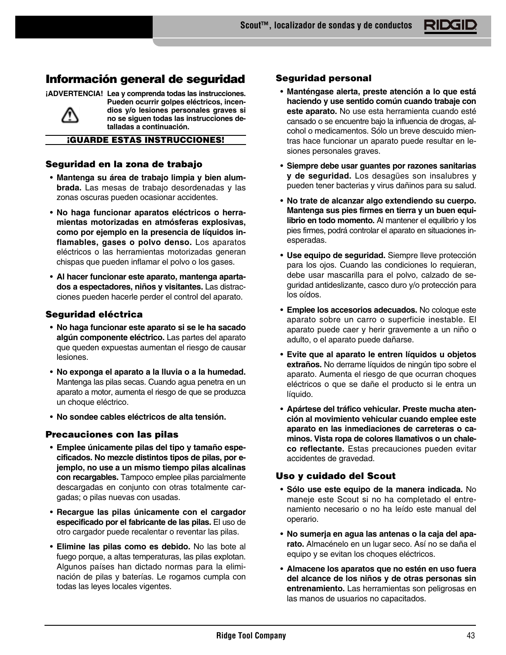# **Información general de seguridad**

**¡ADVERTENCIA! Lea y comprenda todas las instrucciones.**

![](_page_44_Picture_3.jpeg)

**Pueden ocurrir golpes eléctricos, incendios y/o lesiones personales graves si no se siguen todas las instrucciones detalladas a continuación.**

**¡GUARDE ESTAS INSTRUCCIONES!**

# **Seguridad en la zona de trabajo**

- **Mantenga su área de trabajo limpia y bien alumbrada.** Las mesas de trabajo desordenadas y las zonas oscuras pueden ocasionar accidentes.
- **No haga funcionar aparatos eléctricos o herramientas motorizadas en atmósferas explosivas, como por ejemplo en la presencia de líquidos inflamables, gases o polvo denso.** Los aparatos eléctricos o las herramientas motorizadas generan chispas que pueden inflamar el polvo o los gases.
- **Al hacer funcionar este aparato, mantenga apartados a espectadores, niños y visitantes.** Las distracciones pueden hacerle perder el control del aparato.

# **Seguridad eléctrica**

- **No haga funcionar este aparato si se le ha sacado algún componente eléctrico.** Las partes del aparato que queden expuestas aumentan el riesgo de causar lesiones.
- **No exponga el aparato a la lluvia o a la humedad.** Mantenga las pilas secas. Cuando agua penetra en un aparato a motor, aumenta el riesgo de que se produzca un choque eléctrico.
- **No sondee cables eléctricos de alta tensión.**

# **Precauciones con las pilas**

- **Emplee únicamente pilas del tipo y tamaño especificados. No mezcle distintos tipos de pilas, por ejemplo, no use a un mismo tiempo pilas alcalinas con recargables.** Tampoco emplee pilas parcialmente descargadas en conjunto con otras totalmente cargadas; o pilas nuevas con usadas.
- **Recargue las pilas únicamente con el cargador especificado por el fabricante de las pilas.** El uso de otro cargador puede recalentar o reventar las pilas.
- **Elimine las pilas como es debido.** No las bote al fuego porque, a altas temperaturas, las pilas explotan. Algunos países han dictado normas para la eliminación de pilas y baterías. Le rogamos cumpla con todas las leyes locales vigentes.

# **Seguridad personal**

- **Manténgase alerta, preste atención a lo que está haciendo y use sentido común cuando trabaje con este aparato.** No use esta herramienta cuando esté cansado o se encuentre bajo la influencia de drogas, alcohol o medicamentos. Sólo un breve descuido mientras hace funcionar un aparato puede resultar en lesiones personales graves.
- **Siempre debe usar guantes por razones sanitarias y de seguridad.** Los desagües son insalubres y pueden tener bacterias y virus dañinos para su salud.
- **No trate de alcanzar algo extendiendo su cuerpo. Mantenga sus pies firmes en tierra y un buen equilibrio en todo momento.** Al mantener el equilibrio y los pies firmes, podrá controlar el aparato en situaciones inesperadas.
- **Use equipo de seguridad.** Siempre lleve protección para los ojos. Cuando las condiciones lo requieran, debe usar mascarilla para el polvo, calzado de seguridad antideslizante, casco duro y/o protección para los oídos.
- **Emplee los accesorios adecuados.** No coloque este aparato sobre un carro o superficie inestable. El aparato puede caer y herir gravemente a un niño o adulto, o el aparato puede dañarse.
- **Evite que al aparato le entren líquidos u objetos extraños.** No derrame líquidos de ningún tipo sobre el aparato. Aumenta el riesgo de que ocurran choques eléctricos o que se dañe el producto si le entra un líquido.
- **Apártese del tráfico vehicular. Preste mucha atención al movimiento vehicular cuando emplee este aparato en las inmediaciones de carreteras o caminos. Vista ropa de colores llamativos o un chaleco reflectante.** Estas precauciones pueden evitar accidentes de gravedad.

# **Uso y cuidado del Scout**

- **Sólo use este equipo de la manera indicada.** No maneje este Scout si no ha completado el entrenamiento necesario o no ha leído este manual del operario.
- **No sumerja en agua las antenas o la caja del aparato.** Almacénelo en un lugar seco. Así no se daña el equipo y se evitan los choques eléctricos.
- **Almacene los aparatos que no estén en uso fuera del alcance de los niños y de otras personas sin entrenamiento.** Las herramientas son peligrosas en las manos de usuarios no capacitados.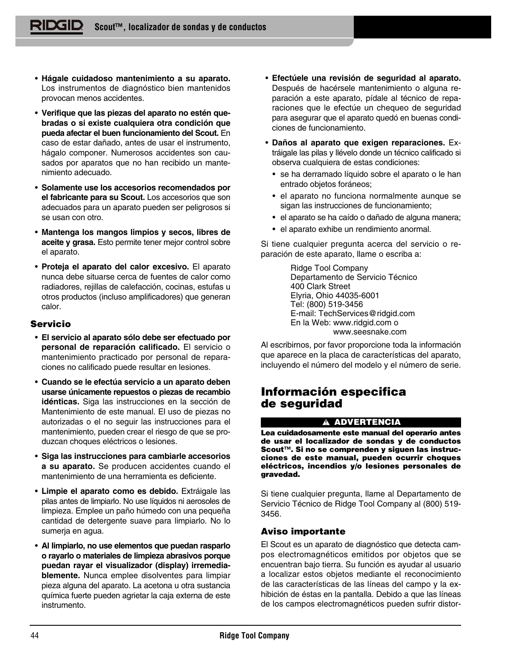- **Hágale cuidadoso mantenimiento a su aparato.** Los instrumentos de diagnóstico bien mantenidos provocan menos accidentes.
- **Verifique que las piezas del aparato no estén quebradas o si existe cualquiera otra condición que pueda afectar el buen funcionamiento del Scout.** En caso de estar dañado, antes de usar el instrumento, hágalo componer. Numerosos accidentes son causados por aparatos que no han recibido un mantenimiento adecuado.
- **Solamente use los accesorios recomendados por el fabricante para su Scout.** Los accesorios que son adecuados para un aparato pueden ser peligrosos si se usan con otro.
- **Mantenga los mangos limpios y secos, libres de aceite y grasa.** Esto permite tener mejor control sobre el aparato.
- **Proteja el aparato del calor excesivo.** El aparato nunca debe situarse cerca de fuentes de calor como radiadores, rejillas de calefacción, cocinas, estufas u otros productos (incluso amplificadores) que generan calor.

# **Servicio**

- **El servicio al aparato sólo debe ser efectuado por personal de reparación calificado.** El servicio o mantenimiento practicado por personal de reparaciones no calificado puede resultar en lesiones.
- **Cuando se le efectúa servicio a un aparato deben usarse únicamente repuestos o piezas de recambio idénticas.** Siga las instrucciones en la sección de Mantenimiento de este manual. El uso de piezas no autorizadas o el no seguir las instrucciones para el mantenimiento, pueden crear el riesgo de que se produzcan choques eléctricos o lesiones.
- **Siga las instrucciones para cambiarle accesorios a su aparato.** Se producen accidentes cuando el mantenimiento de una herramienta es deficiente.
- **Limpie el aparato como es debido.** Extráigale las pilas antes de limpiarlo. No use líquidos ni aerosoles de limpieza. Emplee un paño húmedo con una pequeña cantidad de detergente suave para limpiarlo. No lo sumerja en agua.
- **Al limpiarlo, no use elementos que puedan rasparlo o rayarlo o materiales de limpieza abrasivos porque puedan rayar el visualizador (display) irremediablemente.** Nunca emplee disolventes para limpiar pieza alguna del aparato. La acetona u otra sustancia química fuerte pueden agrietar la caja externa de este instrumento.
- **Efectúele una revisión de seguridad al aparato.** Después de hacérsele mantenimiento o alguna reparación a este aparato, pídale al técnico de reparaciones que le efectúe un chequeo de seguridad para asegurar que el aparato quedó en buenas condiciones de funcionamiento.
- **Daños al aparato que exigen reparaciones.** Extráigale las pilas y llévelo donde un técnico calificado si observa cualquiera de estas condiciones:
	- se ha derramado líquido sobre el aparato o le han entrado objetos foráneos;
	- el aparato no funciona normalmente aunque se sigan las instrucciones de funcionamiento;
	- el aparato se ha caído o dañado de alguna manera;
	- el aparato exhibe un rendimiento anormal.

Si tiene cualquier pregunta acerca del servicio o reparación de este aparato, llame o escriba a:

> Ridge Tool Company Departamento de Servicio Técnico 400 Clark Street Elyria, Ohio 44035-6001 Tel: (800) 519-3456 E-mail: TechServices@ridgid.com En la Web: www.ridgid.com o www.seesnake.com

Al escribirnos, por favor proporcione toda la información que aparece en la placa de características del aparato, incluyendo el número del modelo y el número de serie.

# **Información especifica de seguridad**

## **ADVERTENCIA**

**Lea cuidadosamente este manual del operario antes de usar el localizador de sondas y de conductos Scout™. Si no se comprenden y siguen las instrucciones de este manual, pueden ocurrir choques eléctricos, incendios y/o lesiones personales de gravedad.**

Si tiene cualquier pregunta, llame al Departamento de Servicio Técnico de Ridge Tool Company al (800) 519- 3456.

# **Aviso importante**

El Scout es un aparato de diagnóstico que detecta campos electromagnéticos emitidos por objetos que se encuentran bajo tierra. Su función es ayudar al usuario a localizar estos objetos mediante el reconocimiento de las características de las líneas del campo y la exhibición de éstas en la pantalla. Debido a que las líneas de los campos electromagnéticos pueden sufrir distor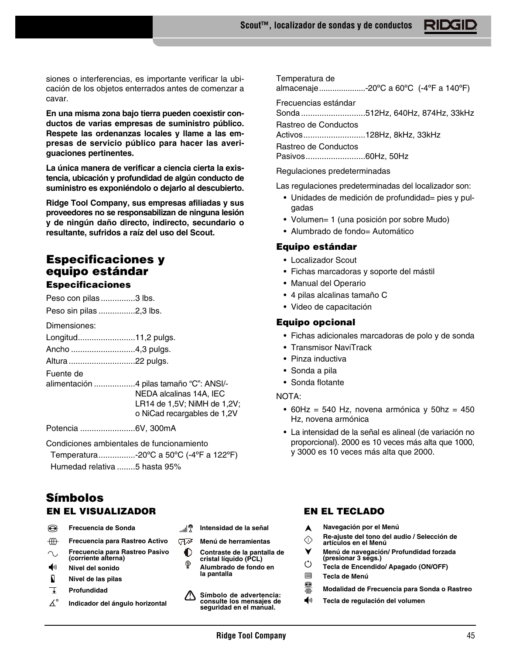siones o interferencias, es importante verificar la ubicación de los objetos enterrados antes de comenzar a cavar.

**En una misma zona bajo tierra pueden coexistir conductos de varias empresas de suministro público. Respete las ordenanzas locales y llame a las empresas de servicio público para hacer las averiguaciones pertinentes.**

**La única manera de verificar a ciencia cierta la existencia, ubicación y profundidad de algún conducto de suministro es exponiéndolo o dejarlo al descubierto.**

**Ridge Tool Company, sus empresas afiliadas y sus proveedores no se responsabilizan de ninguna lesión y de ningún daño directo, indirecto, secundario o resultante, sufridos a raíz del uso del Scout.**

# **Especificaciones y equipo estándar Especificaciones**

Peso con pilas...............3 lbs.

Peso sin pilas ................2,3 lbs.

Dimensiones:

| Longitud11,2 pulgs. |  |
|---------------------|--|
| Ancho 4,3 pulgs.    |  |

Altura.............................22 pulgs.

Fuente de

alimentación ..................4 pilas tamaño "C": ANSI/- NEDA alcalinas 14A, IEC LR14 de 1,5V; NiMH de 1,2V; o NiCad recargables de 1,2V

Potencia ........................6V, 300mA

Condiciones ambientales de funcionamiento

Temperatura................-20ºC a 50ºC (-4ºF a 122ºF)

Humedad relativa ........5 hasta 95%

# **Símbolos EN EL VISUALIZADOR EN EL TECLADO**

- ଛ **Frecuencia de Sonda**
- $\dfrac{d}{dx}$ **Frecuencia para Rastreo Activo**
- **Frecuencia para Rastreo Pasivo**  $\sim$ **(corriente alterna)**
- ◀∪ **Nivel del sonido**
- $\mathbf{u}$ **Nivel de las pilas**
- Ţ **Profundidad**
- $\Delta^\circ$ **Indicador del ángulo horizontal**
- ®ا**ا**… **Intensidad de la señal**
- ਾਕਾ **Menú de herramientas**

**la pantalla**

- $\bullet$ **Contraste de la pantalla de cristal líquido (PCL)** Ŷ **Alumbrado de fondo en**
- ⚠ **Símbolo de advertencia: consulte los mensajes de seguridad en el manual.**

Temperatura de

almacenaje.....................-20ºC a 60ºC (-4ºF a 140ºF)

Frecuencias estándar

Sonda............................512Hz, 640Hz, 874Hz, 33kHz

Rastreo de Conductos

Activos...........................128Hz, 8kHz, 33kHz

Rastreo de Conductos

Pasivos..........................60Hz, 50Hz

Regulaciones predeterminadas

Las regulaciones predeterminadas del localizador son:

- Unidades de medición de profundidad= pies y pulgadas
- Volumen= 1 (una posición por sobre Mudo)
- Alumbrado de fondo= Automático

# **Equipo estándar**

- Localizador Scout
- Fichas marcadoras y soporte del mástil
- Manual del Operario
- 4 pilas alcalinas tamaño C
- Video de capacitación

# **Equipo opcional**

- Fichas adicionales marcadoras de polo y de sonda
- Transmisor NaviTrack
- Pinza inductiva
- Sonda a pila
- Sonda flotante

NOTA:

- 60Hz = 540 Hz, novena armónica y 50hz = 450 Hz, novena armónica
- La intensidad de la señal es alineal (de variación no proporcional). 2000 es 10 veces más alta que 1000, y 3000 es 10 veces más alta que 2000.

- **Navegación por el Menú** A
- **Re-ajuste del tono del audio / Selección de**  $\Diamond$
- **artículos en el Menú** ۷ **Menú de navegación/ Profundidad forzada**
- **(presionar 3 segs.)**
- $\ddot{\circ}$ **Tecla de Encendido/ Apagado (ON/OFF)**
- 目 **Tecla de Menú**
- ●無 **Modalidad de Frecuencia para Sonda o Rastreo**
- ◀リ **Tecla de regulación del volumen**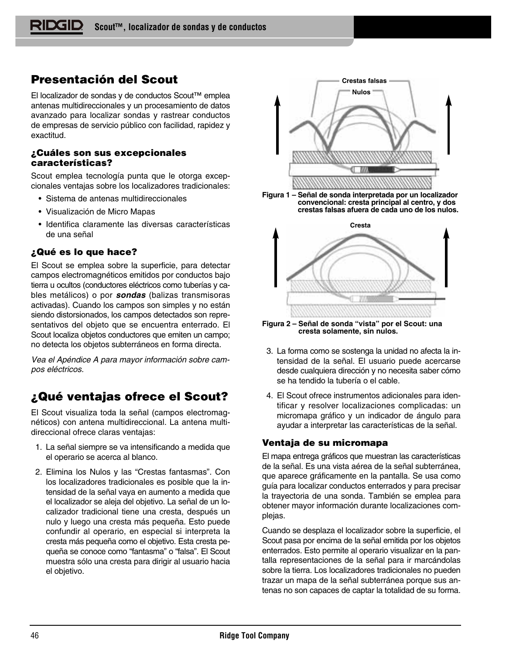# **Presentación del Scout**

El localizador de sondas y de conductos Scout™ emplea antenas multidireccionales y un procesamiento de datos avanzado para localizar sondas y rastrear conductos de empresas de servicio público con facilidad, rapidez y exactitud.

# **¿Cuáles son sus excepcionales características?**

Scout emplea tecnología punta que le otorga excepcionales ventajas sobre los localizadores tradicionales:

- Sistema de antenas multidireccionales
- Visualización de Micro Mapas
- Identifica claramente las diversas características de una señal

# **¿Qué es lo que hace?**

El Scout se emplea sobre la superficie, para detectar campos electromagnéticos emitidos por conductos bajo tierra u ocultos (conductores eléctricos como tuberías y cables metálicos) o por **sondas** (balizas transmisoras activadas). Cuando los campos son simples y no están siendo distorsionados, los campos detectados son representativos del objeto que se encuentra enterrado. El Scout localiza objetos conductores que emiten un campo; no detecta los objetos subterráneos en forma directa.

Vea el Apéndice A para mayor información sobre campos eléctricos.

# **¿Qué ventajas ofrece el Scout?**

El Scout visualiza toda la señal (campos electromagnéticos) con antena multidireccional. La antena multidireccional ofrece claras ventajas:

- 1. La señal siempre se va intensificando a medida que el operario se acerca al blanco.
- 2. Elimina los Nulos y las "Crestas fantasmas". Con los localizadores tradicionales es posible que la intensidad de la señal vaya en aumento a medida que el localizador se aleja del objetivo. La señal de un localizador tradicional tiene una cresta, después un nulo y luego una cresta más pequeña. Esto puede confundir al operario, en especial si interpreta la cresta más pequeña como el objetivo. Esta cresta pequeña se conoce como "fantasma" o "falsa". El Scout muestra sólo una cresta para dirigir al usuario hacia el objetivo.

![](_page_47_Figure_15.jpeg)

**Figura 1 – Señal de sonda interpretada por un localizador convencional: cresta principal al centro, y dos crestas falsas afuera de cada uno de los nulos.**

![](_page_47_Figure_17.jpeg)

**Figura 2 – Señal de sonda "vista" por el Scout: una cresta solamente, sin nulos.**

- 3. La forma como se sostenga la unidad no afecta la intensidad de la señal. El usuario puede acercarse desde cualquiera dirección y no necesita saber cómo se ha tendido la tubería o el cable.
- 4. El Scout ofrece instrumentos adicionales para identificar y resolver localizaciones complicadas: un micromapa gráfico y un indicador de ángulo para ayudar a interpretar las características de la señal.

# **Ventaja de su micromapa**

El mapa entrega gráficos que muestran las características de la señal. Es una vista aérea de la señal subterránea, que aparece gráficamente en la pantalla. Se usa como guía para localizar conductos enterrados y para precisar la trayectoria de una sonda. También se emplea para obtener mayor información durante localizaciones complejas.

Cuando se desplaza el localizador sobre la superficie, el Scout pasa por encima de la señal emitida por los objetos enterrados. Esto permite al operario visualizar en la pantalla representaciones de la señal para ir marcándolas sobre la tierra. Los localizadores tradicionales no pueden trazar un mapa de la señal subterránea porque sus antenas no son capaces de captar la totalidad de su forma.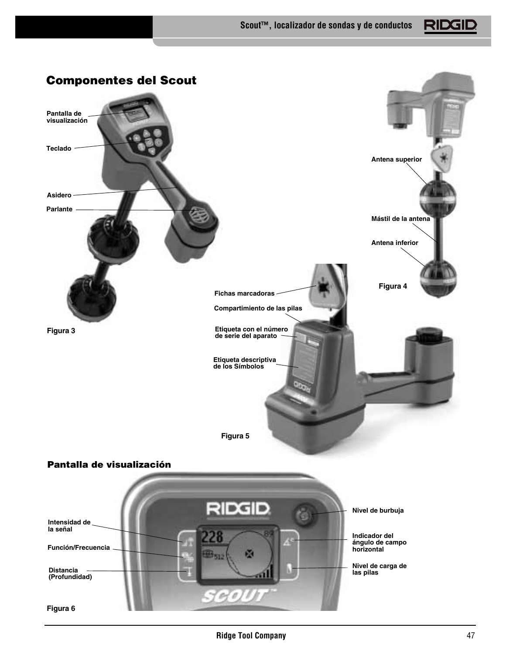![](_page_48_Picture_1.jpeg)

![](_page_48_Picture_2.jpeg)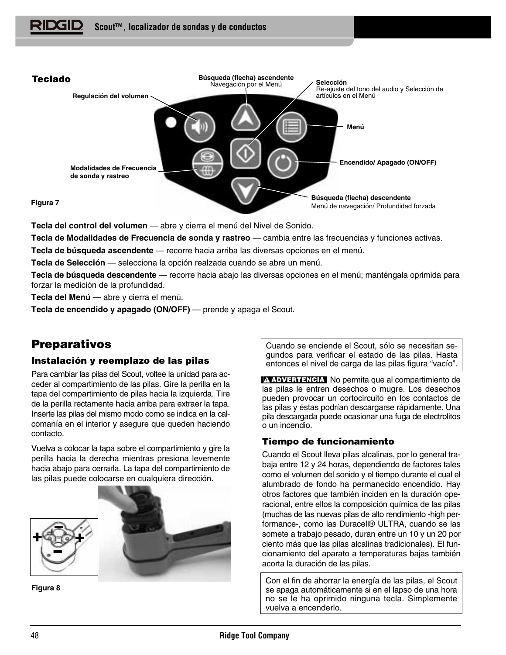![](_page_49_Picture_1.jpeg)

**Tecla del control del volumen** — abre y cierra el menú del Nivel de Sonido.

**Tecla de Modalidades de Frecuencia de sonda y rastreo** — cambia entre las frecuencias y funciones activas.

**Tecla de búsqueda ascendente** — recorre hacia arriba las diversas opciones en el menú.

**Tecla de Selección** — selecciona la opción realzada cuando se abre un menú.

**Tecla de búsqueda descendente** — recorre hacia abajo las diversas opciones en el menú; manténgala oprimida para forzar la medición de la profundidad.

**Tecla del Menú** — abre y cierra el menú.

**Tecla de encendido y apagado (ON/OFF)** — prende y apaga el Scout.

# **Preparativos**

# **Instalación y reemplazo de las pilas**

Para cambiar las pilas del Scout, voltee la unidad para acceder al compartimiento de las pilas. Gire la perilla en la tapa del compartimiento de pilas hacia la izquierda. Tire de la perilla rectamente hacia arriba para extraer la tapa. Inserte las pilas del mismo modo como se indica en la calcomanía en el interior y asegure que queden haciendo contacto.

Vuelva a colocar la tapa sobre el compartimiento y gire la perilla hacia la derecha mientras presiona levemente hacia abajo para cerrarla. La tapa del compartimiento de las pilas puede colocarse en cualquiera dirección.

![](_page_49_Picture_13.jpeg)

**Figura 8**

Cuando se enciende el Scout, sólo se necesitan segundos para verificar el estado de las pilas. Hasta entonces el nivel de carga de las pilas figura "vacío".

**ADVERTENCIA** No permita que al compartimiento de las pilas le entren desechos o mugre. Los desechos pueden provocar un cortocircuito en los contactos de las pilas y éstas podrían descargarse rápidamente. Una pila descargada puede ocasionar una fuga de electrolitos o un incendio.

# **Tiempo de funcionamiento**

Cuando el Scout lleva pilas alcalinas, por lo general trabaja entre 12 y 24 horas, dependiendo de factores tales como el volumen del sonido y el tiempo durante el cual el alumbrado de fondo ha permanecido encendido. Hay otros factores que también inciden en la duración operacional, entre ellos la composición química de las pilas (muchas de las nuevas pilas de alto rendimiento -high performance-, como las Duracell® ULTRA, cuando se las somete a trabajo pesado, duran entre un 10 y un 20 por ciento más que las pilas alcalinas tradicionales). El funcionamiento del aparato a temperaturas bajas también acorta la duración de las pilas.

Con el fin de ahorrar la energía de las pilas, el Scout se apaga automáticamente si en el lapso de una hora no se le ha oprimido ninguna tecla. Simplemente vuelva a encenderlo.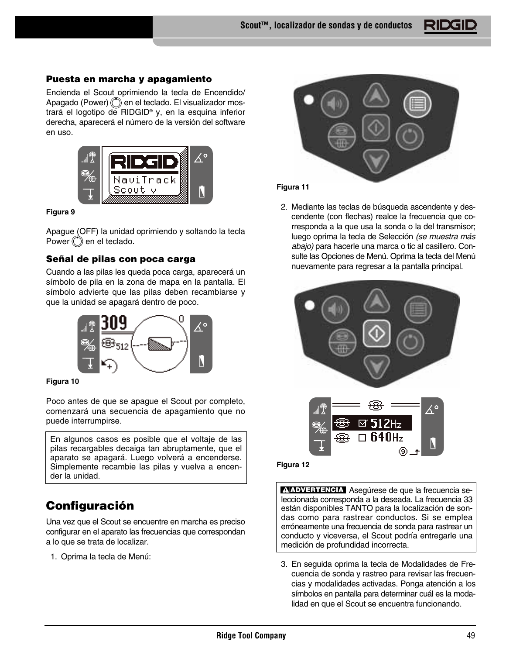# **Puesta en marcha y apagamiento**

Encienda el Scout oprimiendo la tecla de Encendido/ Apagado (Power)  $\binom{4}{3}$  en el teclado. El visualizador mostrará el logotipo de RIDGID® y, en la esquina inferior derecha, aparecerá el número de la versión del software en uso.

![](_page_50_Picture_3.jpeg)

#### **Figura 9**

Apague (OFF) la unidad oprimiendo y soltando la tecla Power  $\circled{c}$  en el teclado.

# **Señal de pilas con poca carga**

Cuando a las pilas les queda poca carga, aparecerá un símbolo de pila en la zona de mapa en la pantalla. El símbolo advierte que las pilas deben recambiarse y que la unidad se apagará dentro de poco.

![](_page_50_Figure_8.jpeg)

**Figura 10**

Poco antes de que se apague el Scout por completo, comenzará una secuencia de apagamiento que no puede interrumpirse.

En algunos casos es posible que el voltaje de las pilas recargables decaiga tan abruptamente, que el aparato se apagará. Luego volverá a encenderse. Simplemente recambie las pilas y vuelva a encender la unidad.

# **Configuración**

Una vez que el Scout se encuentre en marcha es preciso configurar en el aparato las frecuencias que correspondan a lo que se trata de localizar.

1. Oprima la tecla de Menú:

![](_page_50_Picture_15.jpeg)

# **Figura 11**

2. Mediante las teclas de búsqueda ascendente y descendente (con flechas) realce la frecuencia que corresponda a la que usa la sonda o la del transmisor; luego oprima la tecla de Selección (se muestra más abajo) para hacerle una marca o tic al casillero. Consulte las Opciones de Menú. Oprima la tecla del Menú nuevamente para regresar a la pantalla principal.

![](_page_50_Figure_18.jpeg)

#### **Figura 12**

**ADVERTENCIA** Asegúrese de que la frecuencia seleccionada corresponda a la deseada. La frecuencia 33 están disponibles TANTO para la localización de sondas como para rastrear conductos. Si se emplea erróneamente una frecuencia de sonda para rastrear un conducto y viceversa, el Scout podría entregarle una medición de profundidad incorrecta.

3. En seguida oprima la tecla de Modalidades de Frecuencia de sonda y rastreo para revisar las frecuencias y modalidades activadas. Ponga atención a los símbolos en pantalla para determinar cuál es la modalidad en que el Scout se encuentra funcionando.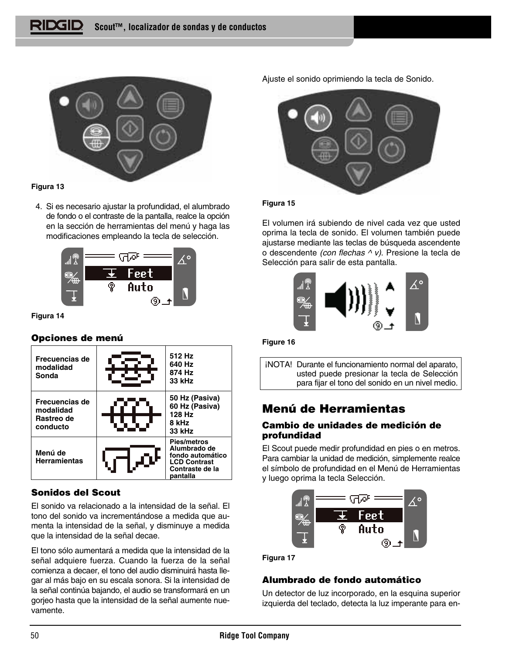![](_page_51_Picture_1.jpeg)

# **Figura 13**

4. Si es necesario ajustar la profundidad, el alumbrado de fondo o el contraste de la pantalla, realce la opción en la sección de herramientas del menú y haga las modificaciones empleando la tecla de selección.

![](_page_51_Picture_4.jpeg)

**Figura 14**

# **Opciones de menú**

![](_page_51_Figure_7.jpeg)

# **Sonidos del Scout**

El sonido va relacionado a la intensidad de la señal. El tono del sonido va incrementándose a medida que aumenta la intensidad de la señal, y disminuye a medida que la intensidad de la señal decae.

El tono sólo aumentará a medida que la intensidad de la señal adquiere fuerza. Cuando la fuerza de la señal comienza a decaer, el tono del audio disminuirá hasta llegar al más bajo en su escala sonora. Si la intensidad de la señal continúa bajando, el audio se transformará en un gorjeo hasta que la intensidad de la señal aumente nuevamente.

Ajuste el sonido oprimiendo la tecla de Sonido.

![](_page_51_Picture_12.jpeg)

# **Figura 15**

El volumen irá subiendo de nivel cada vez que usted oprima la tecla de sonido. El volumen también puede ajustarse mediante las teclas de búsqueda ascendente o descendente *(con flechas*  $\wedge$  v). Presione la tecla de Selección para salir de esta pantalla.

![](_page_51_Picture_15.jpeg)

#### **Figure 16**

¡NOTA! Durante el funcionamiento normal del aparato, usted puede presionar la tecla de Selección para fijar el tono del sonido en un nivel medio.

# **Menú de Herramientas**

# **Cambio de unidades de medición de profundidad**

El Scout puede medir profundidad en pies o en metros. Para cambiar la unidad de medición, simplemente realce el símbolo de profundidad en el Menú de Herramientas y luego oprima la tecla Selección.

![](_page_51_Figure_21.jpeg)

**Figura 17**

# **Alumbrado de fondo automático**

Un detector de luz incorporado, en la esquina superior izquierda del teclado, detecta la luz imperante para en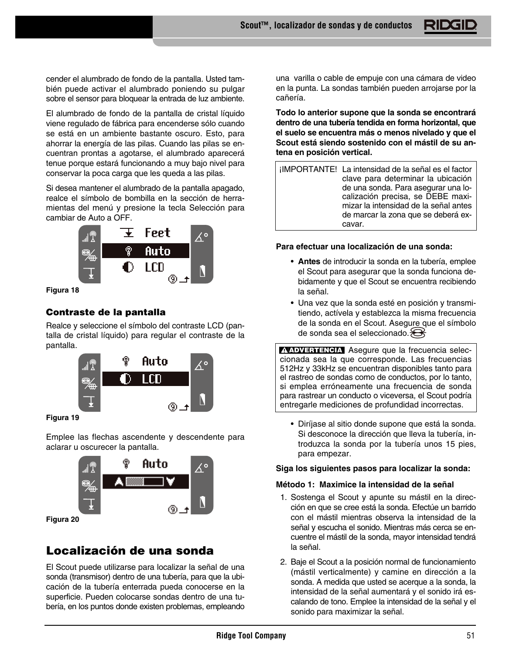cender el alumbrado de fondo de la pantalla. Usted también puede activar el alumbrado poniendo su pulgar sobre el sensor para bloquear la entrada de luz ambiente.

El alumbrado de fondo de la pantalla de cristal líquido viene regulado de fábrica para encenderse sólo cuando se está en un ambiente bastante oscuro. Esto, para ahorrar la energía de las pilas. Cuando las pilas se encuentran prontas a agotarse, el alumbrado aparecerá tenue porque estará funcionando a muy bajo nivel para conservar la poca carga que les queda a las pilas.

Si desea mantener el alumbrado de la pantalla apagado, realce el símbolo de bombilla en la sección de herramientas del menú y presione la tecla Selección para cambiar de Auto a OFF.

![](_page_52_Picture_4.jpeg)

**Figura 18**

# **Contraste de la pantalla**

Realce y seleccione el símbolo del contraste LCD (pantalla de cristal líquido) para regular el contraste de la pantalla.

![](_page_52_Picture_8.jpeg)

**Figura 19**

Emplee las flechas ascendente y descendente para aclarar u oscurecer la pantalla.

![](_page_52_Figure_11.jpeg)

**Figura 20**

# **Localización de una sonda**

El Scout puede utilizarse para localizar la señal de una sonda (transmisor) dentro de una tubería, para que la ubicación de la tubería enterrada pueda conocerse en la superficie. Pueden colocarse sondas dentro de una tubería, en los puntos donde existen problemas, empleando

una varilla o cable de empuje con una cámara de video en la punta. La sondas también pueden arrojarse por la cañería.

**Todo lo anterior supone que la sonda se encontrará dentro de una tubería tendida en forma horizontal, que el suelo se encuentra más o menos nivelado y que el Scout está siendo sostenido con el mástil de su antena en posición vertical.**

¡IMPORTANTE! La intensidad de la señal es el factor clave para determinar la ubicación de una sonda. Para asegurar una localización precisa, se DEBE maximizar la intensidad de la señal antes de marcar la zona que se deberá excavar.

# **Para efectuar una localización de una sonda:**

- **Antes** de introducir la sonda en la tubería, emplee el Scout para asegurar que la sonda funciona debidamente y que el Scout se encuentra recibiendo la señal.
- Una vez que la sonda esté en posición y transmitiendo, actívela y establezca la misma frecuencia de la sonda en el Scout. Asegure que el símbolo de sonda sea el seleccionado. $\bigotimes$

**ADVERTENCIA** Asegure que la frecuencia seleccionada sea la que corresponde. Las frecuencias 512Hz y 33kHz se encuentran disponibles tanto para el rastreo de sondas como de conductos, por lo tanto, si emplea erróneamente una frecuencia de sonda para rastrear un conducto o viceversa, el Scout podría entregarle mediciones de profundidad incorrectas.

• Diríjase al sitio donde supone que está la sonda. Si desconoce la dirección que lleva la tubería, introduzca la sonda por la tubería unos 15 pies, para empezar.

# **Siga los siguientes pasos para localizar la sonda:**

## **Método 1: Maximice la intensidad de la señal**

- 1. Sostenga el Scout y apunte su mástil en la dirección en que se cree está la sonda. Efectúe un barrido con el mástil mientras observa la intensidad de la señal y escucha el sonido. Mientras más cerca se encuentre el mástil de la sonda, mayor intensidad tendrá la señal.
- 2. Baje el Scout a la posición normal de funcionamiento (mástil verticalmente) y camine en dirección a la sonda. A medida que usted se acerque a la sonda, la intensidad de la señal aumentará y el sonido irá escalando de tono. Emplee la intensidad de la señal y el sonido para maximizar la señal.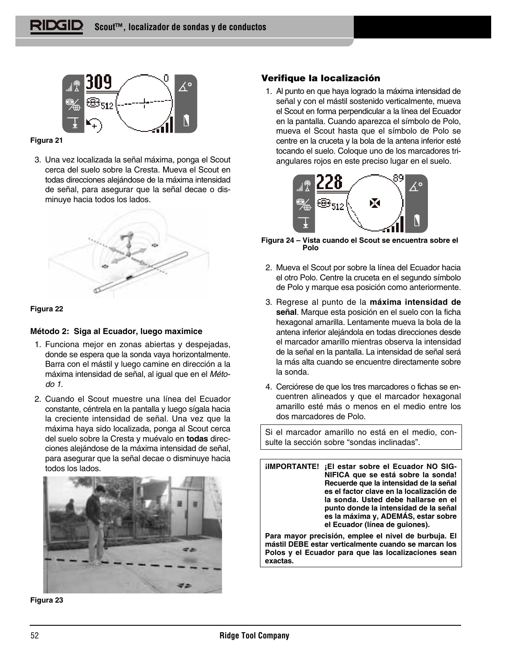![](_page_53_Figure_1.jpeg)

## **Figura 21**

3. Una vez localizada la señal máxima, ponga el Scout cerca del suelo sobre la Cresta. Mueva el Scout en todas direcciones alejándose de la máxima intensidad de señal, para asegurar que la señal decae o disminuye hacia todos los lados.

![](_page_53_Figure_4.jpeg)

## **Figura 22**

# **Método 2: Siga al Ecuador, luego maximice**

- 1. Funciona mejor en zonas abiertas y despejadas, donde se espera que la sonda vaya horizontalmente. Barra con el mástil y luego camine en dirección a la máxima intensidad de señal, al igual que en el Método 1.
- 2. Cuando el Scout muestre una línea del Ecuador constante, céntrela en la pantalla y luego sígala hacia la creciente intensidad de señal. Una vez que la máxima haya sido localizada, ponga al Scout cerca del suelo sobre la Cresta y muévalo en **todas** direcciones alejándose de la máxima intensidad de señal, para asegurar que la señal decae o disminuye hacia todos los lados.

![](_page_53_Picture_9.jpeg)

**Figura 23**

# **Verifique la localización**

1. Al punto en que haya logrado la máxima intensidad de señal y con el mástil sostenido verticalmente, mueva el Scout en forma perpendicular a la línea del Ecuador en la pantalla. Cuando aparezca el símbolo de Polo, mueva el Scout hasta que el símbolo de Polo se centre en la cruceta y la bola de la antena inferior esté tocando el suelo. Coloque uno de los marcadores triangulares rojos en este preciso lugar en el suelo.

![](_page_53_Picture_13.jpeg)

**Figura 24 – Vista cuando el Scout se encuentra sobre el Polo**

- 2. Mueva el Scout por sobre la línea del Ecuador hacia el otro Polo. Centre la cruceta en el segundo símbolo de Polo y marque esa posición como anteriormente.
- 3. Regrese al punto de la **máxima intensidad de señal**. Marque esta posición en el suelo con la ficha hexagonal amarilla. Lentamente mueva la bola de la antena inferior alejándola en todas direcciones desde el marcador amarillo mientras observa la intensidad de la señal en la pantalla. La intensidad de señal será la más alta cuando se encuentre directamente sobre la sonda.
- 4. Cerciórese de que los tres marcadores o fichas se encuentren alineados y que el marcador hexagonal amarillo esté más o menos en el medio entre los dos marcadores de Polo.

Si el marcador amarillo no está en el medio, consulte la sección sobre "sondas inclinadas".

**¡IMPORTANTE! ¡El estar sobre el Ecuador NO SIG-NIFICA que se está sobre la sonda! Recuerde que la intensidad de la señal es el factor clave en la localización de la sonda. Usted debe hallarse en el punto donde la intensidad de la señal es la máxima y, ADEMÁS, estar sobre el Ecuador (línea de guiones).**

**Para mayor precisión, emplee el nivel de burbuja. El mástil DEBE estar verticalmente cuando se marcan los Polos y el Ecuador para que las localizaciones sean exactas.**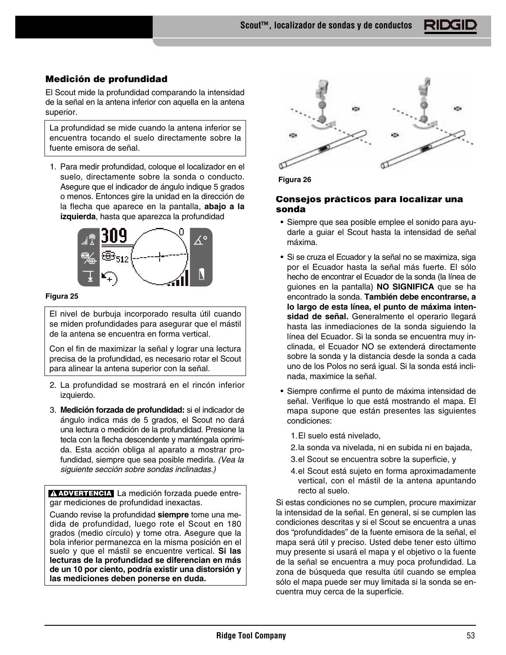**Scout™, localizador de sondas y de conductos**

# **Medición de profundidad**

El Scout mide la profundidad comparando la intensidad de la señal en la antena inferior con aquella en la antena superior.

La profundidad se mide cuando la antena inferior se encuentra tocando el suelo directamente sobre la fuente emisora de señal.

1. Para medir profundidad, coloque el localizador en el suelo, directamente sobre la sonda o conducto. Asegure que el indicador de ángulo indique 5 grados o menos. Entonces gire la unidad en la dirección de la flecha que aparece en la pantalla, **abajo a la izquierda**, hasta que aparezca la profundidad

![](_page_54_Figure_5.jpeg)

#### **Figura 25**

El nivel de burbuja incorporado resulta útil cuando se miden profundidades para asegurar que el mástil de la antena se encuentra en forma vertical.

Con el fin de maximizar la señal y lograr una lectura precisa de la profundidad, es necesario rotar el Scout para alinear la antena superior con la señal.

- 2. La profundidad se mostrará en el rincón inferior izquierdo.
- 3. **Medición forzada de profundidad:** si el indicador de ángulo indica más de 5 grados, el Scout no dará una lectura o medición de la profundidad. Presione la tecla con la flecha descendente y manténgala oprimida. Esta acción obliga al aparato a mostrar profundidad, siempre que sea posible medirla. (Vea la siguiente sección sobre sondas inclinadas.)

**ADVERTENCIA** La medición forzada puede entregar mediciones de profundidad inexactas.

Cuando revise la profundidad **siempre** tome una medida de profundidad, luego rote el Scout en 180 grados (medio círculo) y tome otra. Asegure que la bola inferior permanezca en la misma posición en el suelo y que el mástil se encuentre vertical. **Si las lecturas de la profundidad se diferencian en más de un 10 por ciento, podría existir una distorsión y las mediciones deben ponerse en duda.**

![](_page_54_Figure_13.jpeg)

**Figura 26**

## **Consejos prácticos para localizar una sonda**

- Siempre que sea posible emplee el sonido para ayudarle a guiar el Scout hasta la intensidad de señal máxima.
- Si se cruza el Ecuador y la señal no se maximiza, siga por el Ecuador hasta la señal más fuerte. El sólo hecho de encontrar el Ecuador de la sonda (la línea de guiones en la pantalla) **NO SIGNIFICA** que se ha encontrado la sonda. **También debe encontrarse, a lo largo de esta línea, el punto de máxima intensidad de señal.** Generalmente el operario llegará hasta las inmediaciones de la sonda siguiendo la línea del Ecuador. Si la sonda se encuentra muy inclinada, el Ecuador NO se extenderá directamente sobre la sonda y la distancia desde la sonda a cada uno de los Polos no será igual. Si la sonda está inclinada, maximice la señal.
- Siempre confirme el punto de máxima intensidad de señal. Verifique lo que está mostrando el mapa. El mapa supone que están presentes las siguientes condiciones:

1.El suelo está nivelado,

- 2.la sonda va nivelada, ni en subida ni en bajada,
- 3.el Scout se encuentra sobre la superficie, y
- 4.el Scout está sujeto en forma aproximadamente vertical, con el mástil de la antena apuntando recto al suelo.

Si estas condiciones no se cumplen, procure maximizar la intensidad de la señal. En general, si se cumplen las condiciones descritas y si el Scout se encuentra a unas dos "profundidades" de la fuente emisora de la señal, el mapa será útil y preciso. Usted debe tener esto último muy presente si usará el mapa y el objetivo o la fuente de la señal se encuentra a muy poca profundidad. La zona de búsqueda que resulta útil cuando se emplea sólo el mapa puede ser muy limitada si la sonda se encuentra muy cerca de la superficie.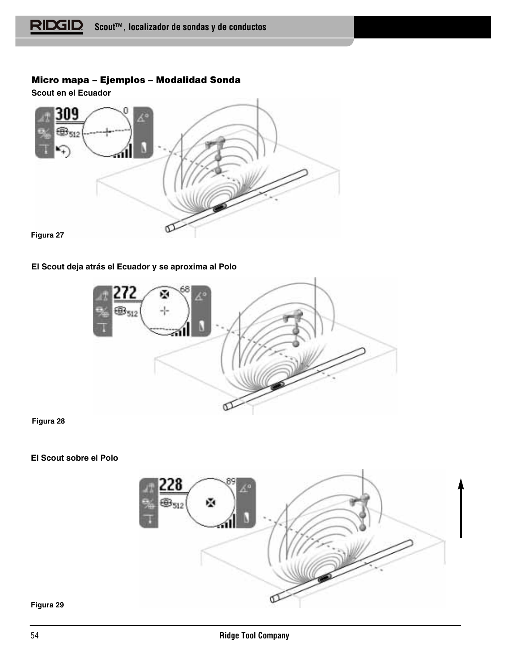# **Micro mapa – Ejemplos – Modalidad Sonda**

**Scout en el Ecuador** 

![](_page_55_Figure_3.jpeg)

# **El Scout deja atrás el Ecuador y se aproxima al Polo**

![](_page_55_Picture_5.jpeg)

**Figura 28**

# **El Scout sobre el Polo**

![](_page_55_Picture_8.jpeg)

#### **Figura 29**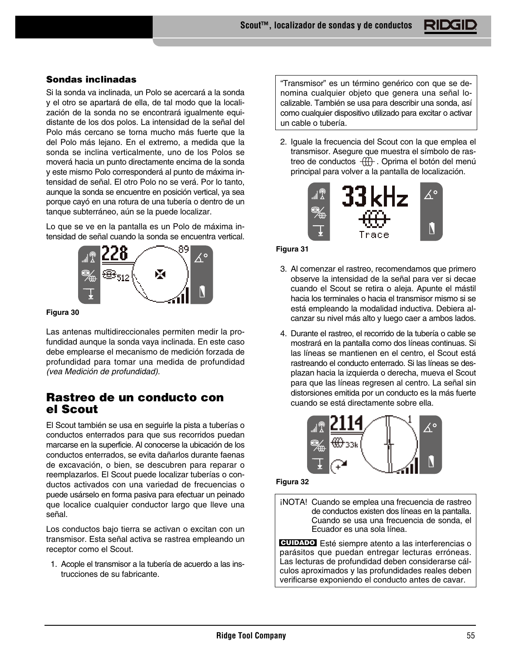# **Sondas inclinadas**

Si la sonda va inclinada, un Polo se acercará a la sonda y el otro se apartará de ella, de tal modo que la localización de la sonda no se encontrará igualmente equidistante de los dos polos. La intensidad de la señal del Polo más cercano se torna mucho más fuerte que la del Polo más lejano. En el extremo, a medida que la sonda se inclina verticalmente, uno de los Polos se moverá hacia un punto directamente encima de la sonda y este mismo Polo corresponderá al punto de máxima intensidad de señal. El otro Polo no se verá. Por lo tanto, aunque la sonda se encuentre en posición vertical, ya sea porque cayó en una rotura de una tubería o dentro de un tanque subterráneo, aún se la puede localizar.

Lo que se ve en la pantalla es un Polo de máxima intensidad de señal cuando la sonda se encuentra vertical.

![](_page_56_Picture_4.jpeg)

#### **Figura 30**

Las antenas multidireccionales permiten medir la profundidad aunque la sonda vaya inclinada. En este caso debe emplearse el mecanismo de medición forzada de profundidad para tomar una medida de profundidad (vea Medición de profundidad).

# **Rastreo de un conducto con el Scout**

El Scout también se usa en seguirle la pista a tuberías o conductos enterrados para que sus recorridos puedan marcarse en la superficie. Al conocerse la ubicación de los conductos enterrados, se evita dañarlos durante faenas de excavación, o bien, se descubren para reparar o reemplazarlos. El Scout puede localizar tuberías o conductos activados con una variedad de frecuencias o puede usárselo en forma pasiva para efectuar un peinado que localice cualquier conductor largo que lleve una señal.

Los conductos bajo tierra se activan o excitan con un transmisor. Esta señal activa se rastrea empleando un receptor como el Scout.

1. Acople el transmisor a la tubería de acuerdo a las instrucciones de su fabricante.

"Transmisor" es un término genérico con que se denomina cualquier objeto que genera una señal localizable. También se usa para describir una sonda, así como cualquier dispositivo utilizado para excitar o activar un cable o tubería.

2. Iguale la frecuencia del Scout con la que emplea el transmisor. Asegure que muestra el símbolo de rastreo de conductos  $\overrightarrow{w}$ . Oprima el botón del menú principal para volver a la pantalla de localización.

![](_page_56_Picture_13.jpeg)

#### **Figura 31**

- 3. Al comenzar el rastreo, recomendamos que primero observe la intensidad de la señal para ver si decae cuando el Scout se retira o aleja. Apunte el mástil hacia los terminales o hacia el transmisor mismo si se está empleando la modalidad inductiva. Debiera alcanzar su nivel más alto y luego caer a ambos lados.
- 4. Durante el rastreo, el recorrido de la tubería o cable se mostrará en la pantalla como dos líneas continuas. Si las líneas se mantienen en el centro, el Scout está rastreando el conducto enterrado. Si las líneas se desplazan hacia la izquierda o derecha, mueva el Scout para que las líneas regresen al centro. La señal sin distorsiones emitida por un conducto es la más fuerte cuando se está directamente sobre ella.

![](_page_56_Figure_17.jpeg)

#### **Figura 32**

¡NOTA! Cuando se emplea una frecuencia de rastreo de conductos existen dos líneas en la pantalla. Cuando se usa una frecuencia de sonda, el Ecuador es una sola línea.

Esté siempre atento a las interferencias o **CUIDADO**parásitos que puedan entregar lecturas erróneas. Las lecturas de profundidad deben considerarse cálculos aproximados y las profundidades reales deben verificarse exponiendo el conducto antes de cavar.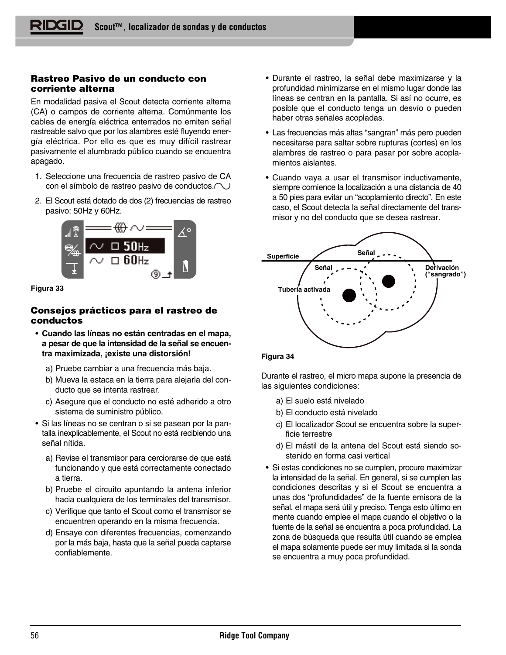# **Rastreo Pasivo de un conducto con corriente alterna**

En modalidad pasiva el Scout detecta corriente alterna (CA) o campos de corriente alterna. Comúnmente los cables de energía eléctrica enterrados no emiten señal rastreable salvo que por los alambres esté fluyendo energía eléctrica. Por ello es que es muy difícil rastrear pasivamente el alumbrado público cuando se encuentra apagado.

- 1. Seleccione una frecuencia de rastreo pasivo de CA con el símbolo de rastreo pasivo de conductos.  $\bigcirc$
- 2. El Scout está dotado de dos (2) frecuencias de rastreo pasivo: 50Hz y 60Hz.

![](_page_57_Picture_5.jpeg)

#### **Figura 33**

# **Consejos prácticos para el rastreo de conductos**

- **Cuando las líneas no están centradas en el mapa, a pesar de que la intensidad de la señal se encuentra maximizada, ¡existe una distorsión!**
	- a) Pruebe cambiar a una frecuencia más baja.
	- b) Mueva la estaca en la tierra para alejarla del conducto que se intenta rastrear.
	- c) Asegure que el conducto no esté adherido a otro sistema de suministro público.
- Si las líneas no se centran o si se pasean por la pantalla inexplicablemente, el Scout no está recibiendo una señal nítida.
	- a) Revise el transmisor para cerciorarse de que está funcionando y que está correctamente conectado a tierra.
	- b) Pruebe el circuito apuntando la antena inferior hacia cualquiera de los terminales del transmisor.
	- c) Verifique que tanto el Scout como el transmisor se encuentren operando en la misma frecuencia.
	- d) Ensaye con diferentes frecuencias, comenzando por la más baja, hasta que la señal pueda captarse confiablemente.
- Durante el rastreo, la señal debe maximizarse y la profundidad minimizarse en el mismo lugar donde las líneas se centran en la pantalla. Si así no ocurre, es posible que el conducto tenga un desvío o pueden haber otras señales acopladas.
- Las frecuencias más altas "sangran" más pero pueden necesitarse para saltar sobre rupturas (cortes) en los alambres de rastreo o para pasar por sobre acoplamientos aislantes.
- Cuando vaya a usar el transmisor inductivamente, siempre comience la localización a una distancia de 40 a 50 pies para evitar un "acoplamiento directo". En este caso, el Scout detecta la señal directamente del transmisor y no del conducto que se desea rastrear.

![](_page_57_Figure_20.jpeg)

#### **Figura 34**

Durante el rastreo, el micro mapa supone la presencia de las siguientes condiciones:

- a) El suelo está nivelado
- b) El conducto está nivelado
- c) El localizador Scout se encuentra sobre la superficie terrestre
- d) El mástil de la antena del Scout está siendo sostenido en forma casi vertical
- Si estas condiciones no se cumplen, procure maximizar la intensidad de la señal. En general, si se cumplen las condiciones descritas y si el Scout se encuentra a unas dos "profundidades" de la fuente emisora de la señal, el mapa será útil y preciso. Tenga esto último en mente cuando emplee el mapa cuando el objetivo o la fuente de la señal se encuentra a poca profundidad. La zona de búsqueda que resulta útil cuando se emplea el mapa solamente puede ser muy limitada si la sonda se encuentra a muy poca profundidad.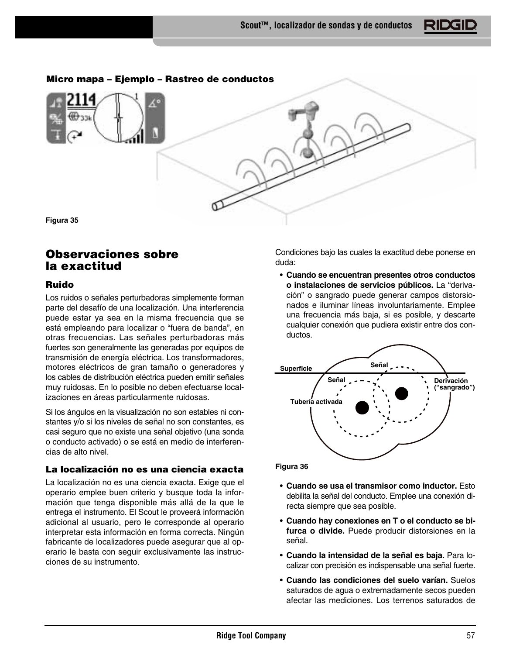**Micro mapa – Ejemplo – Rastreo de conductos**

**Figura 35**

# **Observaciones sobre la exactitud**

# **Ruido**

Los ruidos o señales perturbadoras simplemente forman parte del desafío de una localización. Una interferencia puede estar ya sea en la misma frecuencia que se está empleando para localizar o "fuera de banda", en otras frecuencias. Las señales perturbadoras más fuertes son generalmente las generadas por equipos de transmisión de energía eléctrica. Los transformadores, motores eléctricos de gran tamaño o generadores y los cables de distribución eléctrica pueden emitir señales muy ruidosas. En lo posible no deben efectuarse localizaciones en áreas particularmente ruidosas.

Si los ángulos en la visualización no son estables ni constantes y/o si los niveles de señal no son constantes, es casi seguro que no existe una señal objetivo (una sonda o conducto activado) o se está en medio de interferencias de alto nivel.

# **La localización no es una ciencia exacta**

La localización no es una ciencia exacta. Exige que el operario emplee buen criterio y busque toda la información que tenga disponible más allá de la que le entrega el instrumento. El Scout le proveerá información adicional al usuario, pero le corresponde al operario interpretar esta información en forma correcta. Ningún fabricante de localizadores puede asegurar que al operario le basta con seguir exclusivamente las instrucciones de su instrumento.

Condiciones bajo las cuales la exactitud debe ponerse en duda:

• **Cuando se encuentran presentes otros conductos o instalaciones de servicios públicos.** La "derivación" o sangrado puede generar campos distorsionados e iluminar líneas involuntariamente. Emplee una frecuencia más baja, si es posible, y descarte cualquier conexión que pudiera existir entre dos conductos.

![](_page_58_Figure_12.jpeg)

**Figura 36**

- **Cuando se usa el transmisor como inductor.** Esto debilita la señal del conducto. Emplee una conexión directa siempre que sea posible.
- **Cuando hay conexiones en T o el conducto se bifurca o divide.** Puede producir distorsiones en la señal.
- **Cuando la intensidad de la señal es baja.** Para localizar con precisión es indispensable una señal fuerte.
- **Cuando las condiciones del suelo varían.** Suelos saturados de agua o extremadamente secos pueden afectar las mediciones. Los terrenos saturados de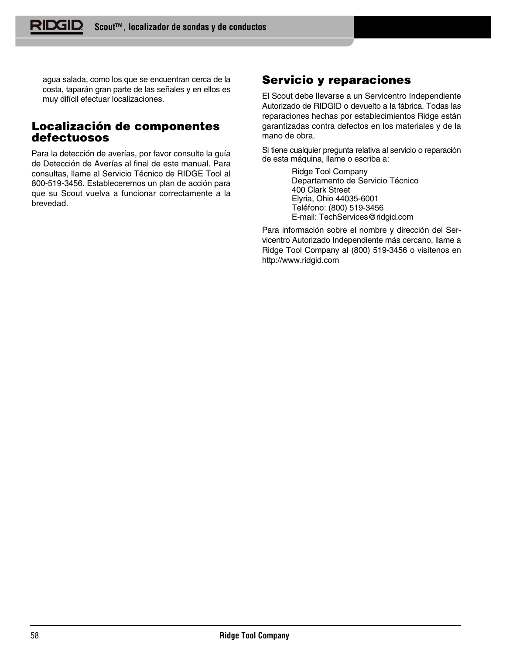agua salada, como los que se encuentran cerca de la costa, taparán gran parte de las señales y en ellos es muy difícil efectuar localizaciones.

# **Localización de componentes defectuosos**

Para la detección de averías, por favor consulte la guía de Detección de Averías al final de este manual. Para consultas, llame al Servicio Técnico de RIDGE Tool al 800-519-3456. Estableceremos un plan de acción para que su Scout vuelva a funcionar correctamente a la brevedad.

# **Servicio y reparaciones**

El Scout debe llevarse a un Servicentro Independiente Autorizado de RIDGID o devuelto a la fábrica. Todas las reparaciones hechas por establecimientos Ridge están garantizadas contra defectos en los materiales y de la mano de obra.

Si tiene cualquier pregunta relativa al servicio o reparación de esta máquina, llame o escriba a:

> Ridge Tool Company Departamento de Servicio Técnico 400 Clark Street Elyria, Ohio 44035-6001 Teléfono: (800) 519-3456 E-mail: TechServices@ridgid.com

Para información sobre el nombre y dirección del Servicentro Autorizado Independiente más cercano, llame a Ridge Tool Company al (800) 519-3456 o visítenos en http://www.ridgid.com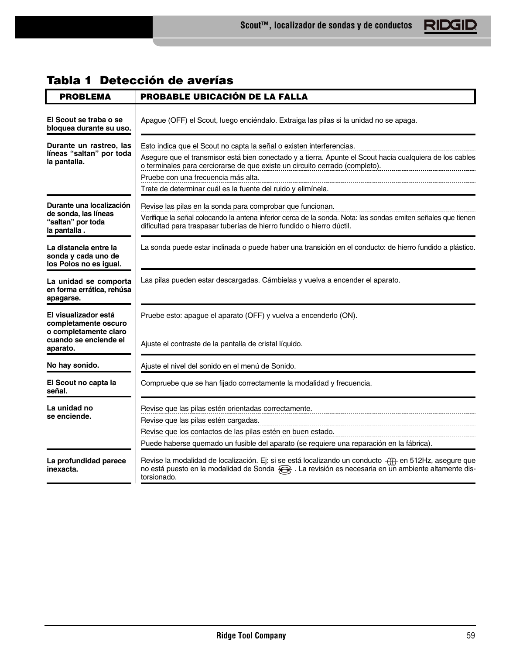# **Tabla 1 Detección de averías**

| <b>PROBLEMA</b>                                                                       | <b>PROBABLE UBICACIÓN DE LA FALLA</b>                                                                                                                                                                                                                                                                                                                                  |
|---------------------------------------------------------------------------------------|------------------------------------------------------------------------------------------------------------------------------------------------------------------------------------------------------------------------------------------------------------------------------------------------------------------------------------------------------------------------|
| El Scout se traba o se<br>bloquea durante su uso.                                     | Apague (OFF) el Scout, luego enciéndalo. Extraiga las pilas si la unidad no se apaga.                                                                                                                                                                                                                                                                                  |
| Durante un rastreo, las<br>líneas "saltan" por toda<br>la pantalla.                   | Esto indica que el Scout no capta la señal o existen interferencias.<br>Asegure que el transmisor está bien conectado y a tierra. Apunte el Scout hacia cualquiera de los cables<br>o terminales para cerciorarse de que existe un circuito cerrado (completo).<br>Pruebe con una frecuencia más alta.<br>Trate de determinar cuál es la fuente del ruido y elimínela. |
| Durante una localización<br>de sonda, las líneas<br>"saltan" por toda<br>la pantalla. | Revise las pilas en la sonda para comprobar que funcionan.<br>Verifique la señal colocando la antena inferior cerca de la sonda. Nota: las sondas emiten señales que tienen<br>dificultad para traspasar tuberías de hierro fundido o hierro dúctil.                                                                                                                   |
| La distancia entre la<br>sonda y cada uno de<br>los Polos no es igual.                | La sonda puede estar inclinada o puede haber una transición en el conducto: de hierro fundido a plástico.                                                                                                                                                                                                                                                              |
| La unidad se comporta<br>en forma errática, rehúsa<br>apagarse.                       | Las pilas pueden estar descargadas. Cámbielas y vuelva a encender el aparato.                                                                                                                                                                                                                                                                                          |
| El visualizador está<br>completamente oscuro                                          | Pruebe esto: apague el aparato (OFF) y vuelva a encenderlo (ON).                                                                                                                                                                                                                                                                                                       |
| o completamente claro<br>cuando se enciende el<br>aparato.                            | Ajuste el contraste de la pantalla de cristal líquido.                                                                                                                                                                                                                                                                                                                 |
| No hay sonido.                                                                        | Ajuste el nivel del sonido en el menú de Sonido.                                                                                                                                                                                                                                                                                                                       |
| El Scout no capta la<br>señal.                                                        | Compruebe que se han fijado correctamente la modalidad y frecuencia.                                                                                                                                                                                                                                                                                                   |
| La unidad no<br>se enciende.                                                          | Revise que las pilas estén orientadas correctamente.<br>Revise que las pilas estén cargadas.<br>Revise que los contactos de las pilas estén en buen estado.<br>Puede haberse quemado un fusible del aparato (se requiere una reparación en la fábrica).                                                                                                                |
| La profundidad parece<br>inexacta.                                                    | Revise la modalidad de localización. Ej: si se está localizando un conducto (II) en 512Hz, asegure que<br>no está puesto en la modalidad de Sonda Se. La revisión es necesaria en un ambiente altamente dis-<br>torsionado.                                                                                                                                            |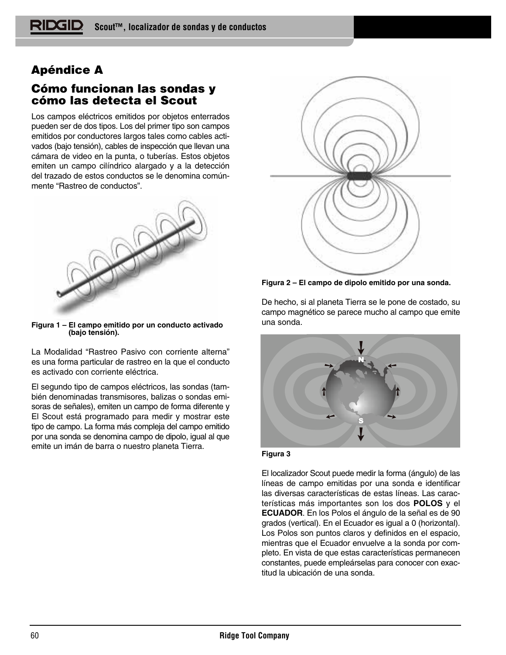# **Apéndice A**

# **Cómo funcionan las sondas y cómo las detecta el Scout**

Los campos eléctricos emitidos por objetos enterrados pueden ser de dos tipos. Los del primer tipo son campos emitidos por conductores largos tales como cables activados (bajo tensión), cables de inspección que llevan una cámara de video en la punta, o tuberías. Estos objetos emiten un campo cilíndrico alargado y a la detección del trazado de estos conductos se le denomina comúnmente "Rastreo de conductos".

![](_page_61_Picture_4.jpeg)

**Figura 1 – El campo emitido por un conducto activado (bajo tensión).**

La Modalidad "Rastreo Pasivo con corriente alterna" es una forma particular de rastreo en la que el conducto es activado con corriente eléctrica.

El segundo tipo de campos eléctricos, las sondas (también denominadas transmisores, balizas o sondas emisoras de señales), emiten un campo de forma diferente y El Scout está programado para medir y mostrar este tipo de campo. La forma más compleja del campo emitido por una sonda se denomina campo de dipolo, igual al que emite un imán de barra o nuestro planeta Tierra.

![](_page_61_Picture_8.jpeg)

**Figura 2 – El campo de dipolo emitido por una sonda.**

De hecho, si al planeta Tierra se le pone de costado, su campo magnético se parece mucho al campo que emite una sonda.

![](_page_61_Picture_11.jpeg)

![](_page_61_Figure_12.jpeg)

El localizador Scout puede medir la forma (ángulo) de las líneas de campo emitidas por una sonda e identificar las diversas características de estas líneas. Las características más importantes son los dos **POLOS** y el **ECUADOR**. En los Polos el ángulo de la señal es de 90 grados (vertical). En el Ecuador es igual a 0 (horizontal). Los Polos son puntos claros y definidos en el espacio, mientras que el Ecuador envuelve a la sonda por completo. En vista de que estas características permanecen constantes, puede empleárselas para conocer con exactitud la ubicación de una sonda.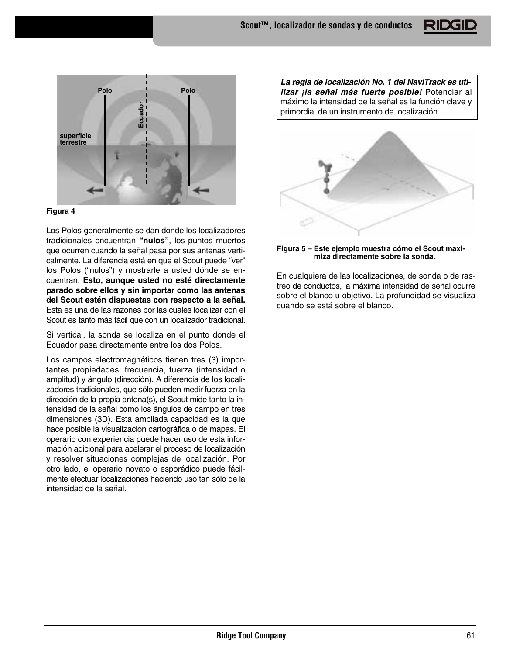![](_page_62_Picture_1.jpeg)

#### **Figura 4**

Los Polos generalmente se dan donde los localizadores tradicionales encuentran **"nulos"**, los puntos muertos que ocurren cuando la señal pasa por sus antenas verticalmente. La diferencia está en que el Scout puede "ver" los Polos ("nulos") y mostrarle a usted dónde se encuentran. **Esto, aunque usted no esté directamente parado sobre ellos y sin importar como las antenas del Scout estén dispuestas con respecto a la señal.** Esta es una de las razones por las cuales localizar con el Scout es tanto más fácil que con un localizador tradicional.

Si vertical, la sonda se localiza en el punto donde el Ecuador pasa directamente entre los dos Polos.

Los campos electromagnéticos tienen tres (3) importantes propiedades: frecuencia, fuerza (intensidad o amplitud) y ángulo (dirección). A diferencia de los localizadores tradicionales, que sólo pueden medir fuerza en la dirección de la propia antena(s), el Scout mide tanto la intensidad de la señal como los ángulos de campo en tres dimensiones (3D). Esta ampliada capacidad es la que hace posible la visualización cartográfica o de mapas. El operario con experiencia puede hacer uso de esta información adicional para acelerar el proceso de localización y resolver situaciones complejas de localización. Por otro lado, el operario novato o esporádico puede fácilmente efectuar localizaciones haciendo uso tan sólo de la intensidad de la señal.

**La regla de localización No. 1 del NaviTrack es utilizar ¡la señal más fuerte posible!** Potenciar al máximo la intensidad de la señal es la función clave y primordial de un instrumento de localización.

![](_page_62_Picture_7.jpeg)

#### **Figura 5 – Este ejemplo muestra cómo el Scout maximiza directamente sobre la sonda.**

En cualquiera de las localizaciones, de sonda o de rastreo de conductos, la máxima intensidad de señal ocurre sobre el blanco u objetivo. La profundidad se visualiza cuando se está sobre el blanco.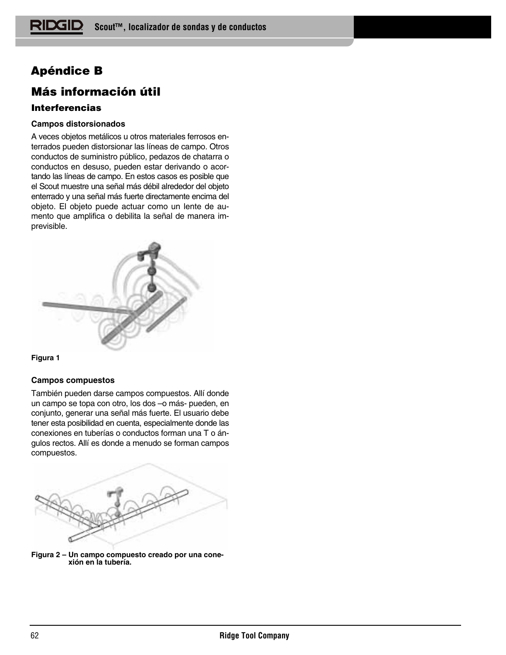# **Apéndice B**

# **Más información útil**

# **Interferencias**

# **Campos distorsionados**

A veces objetos metálicos u otros materiales ferrosos enterrados pueden distorsionar las líneas de campo. Otros conductos de suministro público, pedazos de chatarra o conductos en desuso, pueden estar derivando o acortando las líneas de campo. En estos casos es posible que el Scout muestre una señal más débil alrededor del objeto enterrado y una señal más fuerte directamente encima del objeto. El objeto puede actuar como un lente de aumento que amplifica o debilita la señal de manera imprevisible.

![](_page_63_Figure_6.jpeg)

![](_page_63_Figure_7.jpeg)

# **Campos compuestos**

También pueden darse campos compuestos. Allí donde un campo se topa con otro, los dos –o más- pueden, en conjunto, generar una señal más fuerte. El usuario debe tener esta posibilidad en cuenta, especialmente donde las conexiones en tuberías o conductos forman una T o ángulos rectos. Allí es donde a menudo se forman campos compuestos.

![](_page_63_Picture_10.jpeg)

**Figura 2 – Un campo compuesto creado por una conexión en la tubería.**